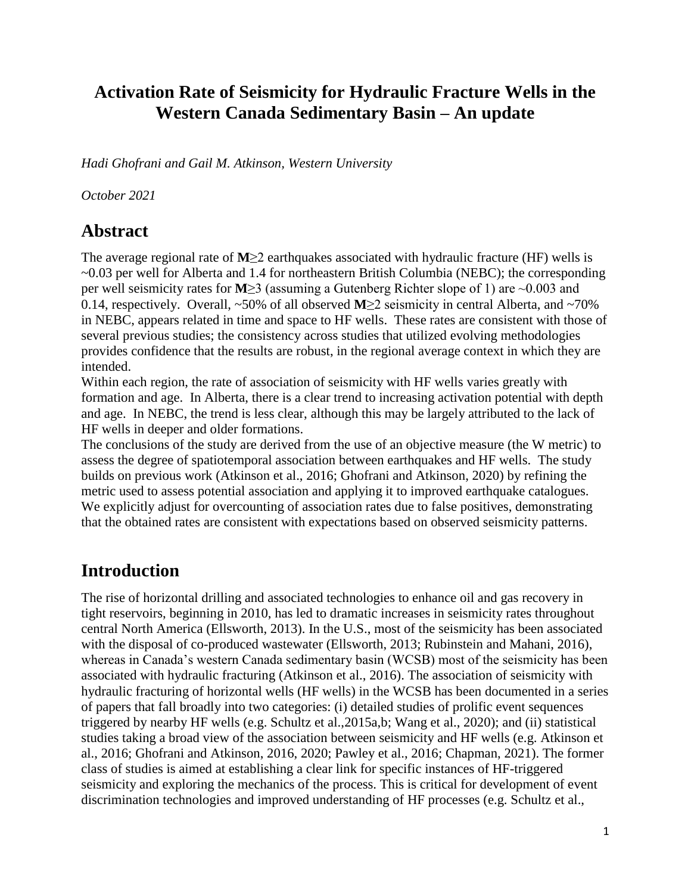## **Activation Rate of Seismicity for Hydraulic Fracture Wells in the Western Canada Sedimentary Basin – An update**

*Hadi Ghofrani and Gail M. Atkinson, Western University*

*October 2021*

### **Abstract**

The average regional rate of **M**≥2 earthquakes associated with hydraulic fracture (HF) wells is ~0.03 per well for Alberta and 1.4 for northeastern British Columbia (NEBC); the corresponding per well seismicity rates for **M**≥3 (assuming a Gutenberg Richter slope of 1) are ~0.003 and 0.14, respectively. Overall, ~50% of all observed **M**≥2 seismicity in central Alberta, and ~70% in NEBC, appears related in time and space to HF wells. These rates are consistent with those of several previous studies; the consistency across studies that utilized evolving methodologies provides confidence that the results are robust, in the regional average context in which they are intended.

Within each region, the rate of association of seismicity with HF wells varies greatly with formation and age. In Alberta, there is a clear trend to increasing activation potential with depth and age. In NEBC, the trend is less clear, although this may be largely attributed to the lack of HF wells in deeper and older formations.

The conclusions of the study are derived from the use of an objective measure (the W metric) to assess the degree of spatiotemporal association between earthquakes and HF wells. The study builds on previous work (Atkinson et al., 2016; Ghofrani and Atkinson, 2020) by refining the metric used to assess potential association and applying it to improved earthquake catalogues. We explicitly adjust for overcounting of association rates due to false positives, demonstrating that the obtained rates are consistent with expectations based on observed seismicity patterns.

## **Introduction**

The rise of horizontal drilling and associated technologies to enhance oil and gas recovery in tight reservoirs, beginning in 2010, has led to dramatic increases in seismicity rates throughout central North America (Ellsworth, 2013). In the U.S., most of the seismicity has been associated with the disposal of co-produced wastewater (Ellsworth, 2013; Rubinstein and Mahani, 2016), whereas in Canada's western Canada sedimentary basin (WCSB) most of the seismicity has been associated with hydraulic fracturing (Atkinson et al., 2016). The association of seismicity with hydraulic fracturing of horizontal wells (HF wells) in the WCSB has been documented in a series of papers that fall broadly into two categories: (i) detailed studies of prolific event sequences triggered by nearby HF wells (e.g. Schultz et al.,2015a,b; Wang et al., 2020); and (ii) statistical studies taking a broad view of the association between seismicity and HF wells (e.g. Atkinson et al., 2016; Ghofrani and Atkinson, 2016, 2020; Pawley et al., 2016; Chapman, 2021). The former class of studies is aimed at establishing a clear link for specific instances of HF-triggered seismicity and exploring the mechanics of the process. This is critical for development of event discrimination technologies and improved understanding of HF processes (e.g. Schultz et al.,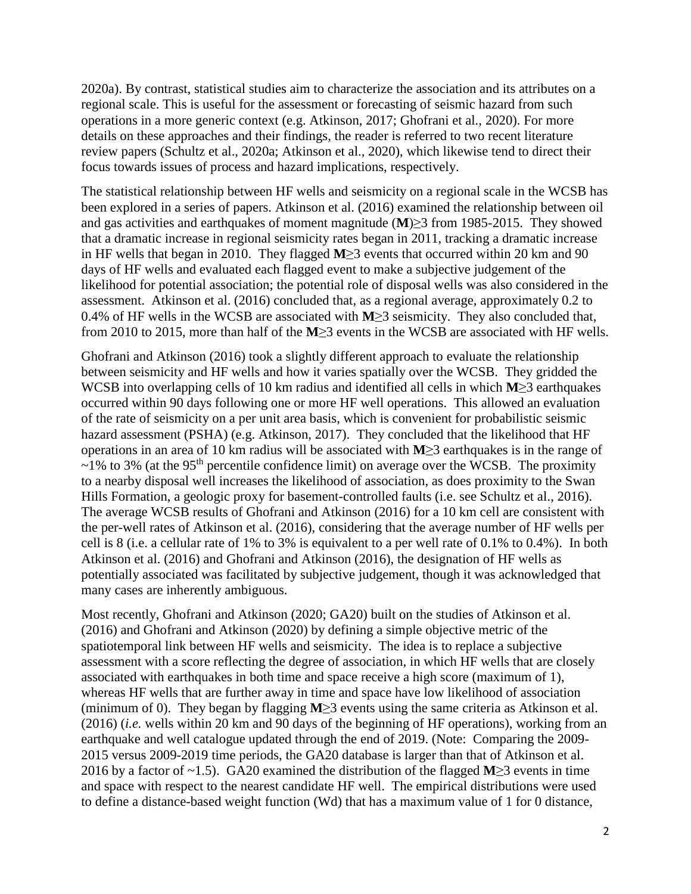2020a). By contrast, statistical studies aim to characterize the association and its attributes on a regional scale. This is useful for the assessment or forecasting of seismic hazard from such operations in a more generic context (e.g. Atkinson, 2017; Ghofrani et al., 2020). For more details on these approaches and their findings, the reader is referred to two recent literature review papers (Schultz et al., 2020a; Atkinson et al., 2020), which likewise tend to direct their focus towards issues of process and hazard implications, respectively.

The statistical relationship between HF wells and seismicity on a regional scale in the WCSB has been explored in a series of papers. Atkinson et al. (2016) examined the relationship between oil and gas activities and earthquakes of moment magnitude (**M**)≥3 from 1985-2015. They showed that a dramatic increase in regional seismicity rates began in 2011, tracking a dramatic increase in HF wells that began in 2010. They flagged **M**≥3 events that occurred within 20 km and 90 days of HF wells and evaluated each flagged event to make a subjective judgement of the likelihood for potential association; the potential role of disposal wells was also considered in the assessment. Atkinson et al. (2016) concluded that, as a regional average, approximately 0.2 to 0.4% of HF wells in the WCSB are associated with **M**≥3 seismicity. They also concluded that, from 2010 to 2015, more than half of the **M**≥3 events in the WCSB are associated with HF wells.

Ghofrani and Atkinson (2016) took a slightly different approach to evaluate the relationship between seismicity and HF wells and how it varies spatially over the WCSB. They gridded the WCSB into overlapping cells of 10 km radius and identified all cells in which **M**≥3 earthquakes occurred within 90 days following one or more HF well operations. This allowed an evaluation of the rate of seismicity on a per unit area basis, which is convenient for probabilistic seismic hazard assessment (PSHA) (e.g. Atkinson, 2017). They concluded that the likelihood that HF operations in an area of 10 km radius will be associated with **M**≥3 earthquakes is in the range of  $\sim$ 1% to 3% (at the 95<sup>th</sup> percentile confidence limit) on average over the WCSB. The proximity to a nearby disposal well increases the likelihood of association, as does proximity to the Swan Hills Formation, a geologic proxy for basement-controlled faults (i.e. see Schultz et al., 2016). The average WCSB results of Ghofrani and Atkinson (2016) for a 10 km cell are consistent with the per-well rates of Atkinson et al. (2016), considering that the average number of HF wells per cell is 8 (i.e. a cellular rate of 1% to 3% is equivalent to a per well rate of 0.1% to 0.4%). In both Atkinson et al. (2016) and Ghofrani and Atkinson (2016), the designation of HF wells as potentially associated was facilitated by subjective judgement, though it was acknowledged that many cases are inherently ambiguous.

Most recently, Ghofrani and Atkinson (2020; GA20) built on the studies of Atkinson et al. (2016) and Ghofrani and Atkinson (2020) by defining a simple objective metric of the spatiotemporal link between HF wells and seismicity. The idea is to replace a subjective assessment with a score reflecting the degree of association, in which HF wells that are closely associated with earthquakes in both time and space receive a high score (maximum of 1), whereas HF wells that are further away in time and space have low likelihood of association (minimum of 0). They began by flagging **M**≥3 events using the same criteria as Atkinson et al. (2016) (*i.e.* wells within 20 km and 90 days of the beginning of HF operations), working from an earthquake and well catalogue updated through the end of 2019. (Note: Comparing the 2009- 2015 versus 2009-2019 time periods, the GA20 database is larger than that of Atkinson et al. 2016 by a factor of ~1.5). GA20 examined the distribution of the flagged **M**≥3 events in time and space with respect to the nearest candidate HF well. The empirical distributions were used to define a distance-based weight function (Wd) that has a maximum value of 1 for 0 distance,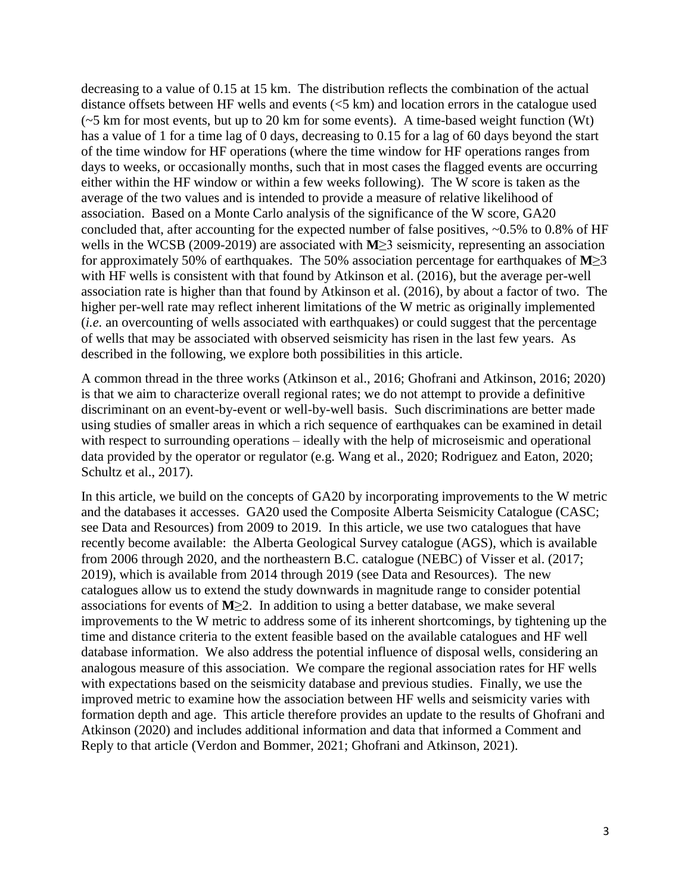decreasing to a value of 0.15 at 15 km. The distribution reflects the combination of the actual distance offsets between HF wells and events (<5 km) and location errors in the catalogue used  $(-5 \text{ km for most events}, \text{ but up to 20 km for some events}).$  A time-based weight function (Wt) has a value of 1 for a time lag of 0 days, decreasing to 0.15 for a lag of 60 days beyond the start of the time window for HF operations (where the time window for HF operations ranges from days to weeks, or occasionally months, such that in most cases the flagged events are occurring either within the HF window or within a few weeks following). The W score is taken as the average of the two values and is intended to provide a measure of relative likelihood of association. Based on a Monte Carlo analysis of the significance of the W score, GA20 concluded that, after accounting for the expected number of false positives, ~0.5% to 0.8% of HF wells in the WCSB (2009-2019) are associated with **M**≥3 seismicity, representing an association for approximately 50% of earthquakes. The 50% association percentage for earthquakes of **M**≥3 with HF wells is consistent with that found by Atkinson et al. (2016), but the average per-well association rate is higher than that found by Atkinson et al. (2016), by about a factor of two. The higher per-well rate may reflect inherent limitations of the W metric as originally implemented (*i.e.* an overcounting of wells associated with earthquakes) or could suggest that the percentage of wells that may be associated with observed seismicity has risen in the last few years. As described in the following, we explore both possibilities in this article.

A common thread in the three works (Atkinson et al., 2016; Ghofrani and Atkinson, 2016; 2020) is that we aim to characterize overall regional rates; we do not attempt to provide a definitive discriminant on an event-by-event or well-by-well basis. Such discriminations are better made using studies of smaller areas in which a rich sequence of earthquakes can be examined in detail with respect to surrounding operations – ideally with the help of microseismic and operational data provided by the operator or regulator (e.g. Wang et al., 2020; Rodriguez and Eaton, 2020; Schultz et al., 2017).

In this article, we build on the concepts of GA20 by incorporating improvements to the W metric and the databases it accesses. GA20 used the Composite Alberta Seismicity Catalogue (CASC; see Data and Resources) from 2009 to 2019. In this article, we use two catalogues that have recently become available: the Alberta Geological Survey catalogue (AGS), which is available from 2006 through 2020, and the northeastern B.C. catalogue (NEBC) of Visser et al. (2017; 2019), which is available from 2014 through 2019 (see Data and Resources). The new catalogues allow us to extend the study downwards in magnitude range to consider potential associations for events of **M**≥2. In addition to using a better database, we make several improvements to the W metric to address some of its inherent shortcomings, by tightening up the time and distance criteria to the extent feasible based on the available catalogues and HF well database information. We also address the potential influence of disposal wells, considering an analogous measure of this association. We compare the regional association rates for HF wells with expectations based on the seismicity database and previous studies. Finally, we use the improved metric to examine how the association between HF wells and seismicity varies with formation depth and age. This article therefore provides an update to the results of Ghofrani and Atkinson (2020) and includes additional information and data that informed a Comment and Reply to that article (Verdon and Bommer, 2021; Ghofrani and Atkinson, 2021).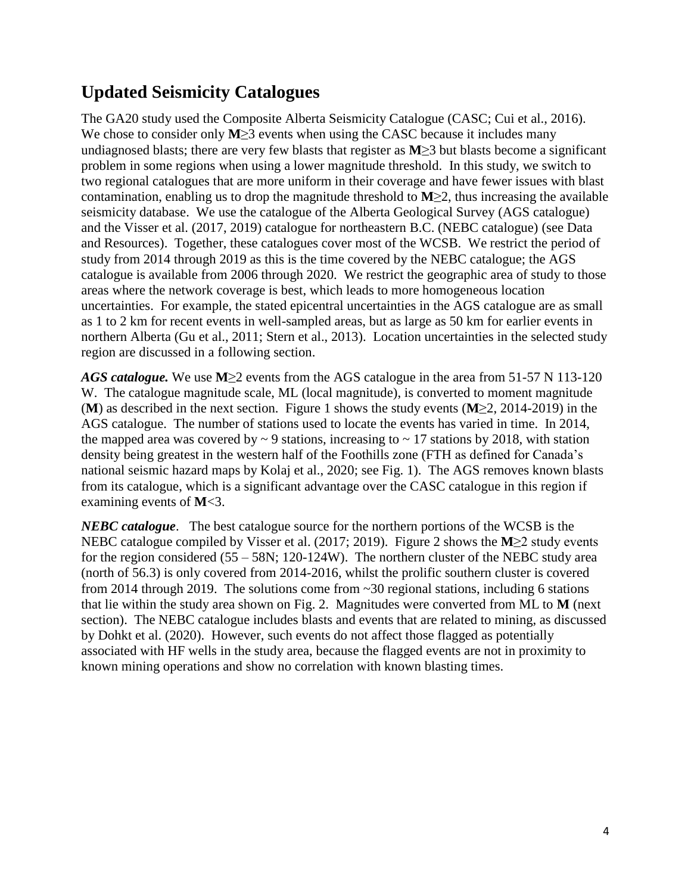# **Updated Seismicity Catalogues**

The GA20 study used the Composite Alberta Seismicity Catalogue (CASC; Cui et al., 2016). We chose to consider only  $M \geq 3$  events when using the CASC because it includes many undiagnosed blasts; there are very few blasts that register as **M**≥3 but blasts become a significant problem in some regions when using a lower magnitude threshold. In this study, we switch to two regional catalogues that are more uniform in their coverage and have fewer issues with blast contamination, enabling us to drop the magnitude threshold to **M**≥2, thus increasing the available seismicity database. We use the catalogue of the Alberta Geological Survey (AGS catalogue) and the Visser et al. (2017, 2019) catalogue for northeastern B.C. (NEBC catalogue) (see Data and Resources). Together, these catalogues cover most of the WCSB. We restrict the period of study from 2014 through 2019 as this is the time covered by the NEBC catalogue; the AGS catalogue is available from 2006 through 2020. We restrict the geographic area of study to those areas where the network coverage is best, which leads to more homogeneous location uncertainties. For example, the stated epicentral uncertainties in the AGS catalogue are as small as 1 to 2 km for recent events in well-sampled areas, but as large as 50 km for earlier events in northern Alberta (Gu et al., 2011; Stern et al., 2013). Location uncertainties in the selected study region are discussed in a following section.

*AGS catalogue.* We use **M**≥2 events from the AGS catalogue in the area from 51-57 N 113-120 W. The catalogue magnitude scale, ML (local magnitude), is converted to moment magnitude (**M**) as described in the next section. Figure 1 shows the study events (**M**≥2, 2014-2019) in the AGS catalogue. The number of stations used to locate the events has varied in time. In 2014, the mapped area was covered by  $\sim$  9 stations, increasing to  $\sim$  17 stations by 2018, with station density being greatest in the western half of the Foothills zone (FTH as defined for Canada's national seismic hazard maps by Kolaj et al., 2020; see Fig. 1). The AGS removes known blasts from its catalogue, which is a significant advantage over the CASC catalogue in this region if examining events of **M**<3.

*NEBC catalogue*. The best catalogue source for the northern portions of the WCSB is the NEBC catalogue compiled by Visser et al. (2017; 2019). Figure 2 shows the **M**≥2 study events for the region considered  $(55 - 58N; 120 - 124W)$ . The northern cluster of the NEBC study area (north of 56.3) is only covered from 2014-2016, whilst the prolific southern cluster is covered from 2014 through 2019. The solutions come from ~30 regional stations, including 6 stations that lie within the study area shown on Fig. 2. Magnitudes were converted from ML to **M** (next section). The NEBC catalogue includes blasts and events that are related to mining, as discussed by Dohkt et al. (2020). However, such events do not affect those flagged as potentially associated with HF wells in the study area, because the flagged events are not in proximity to known mining operations and show no correlation with known blasting times.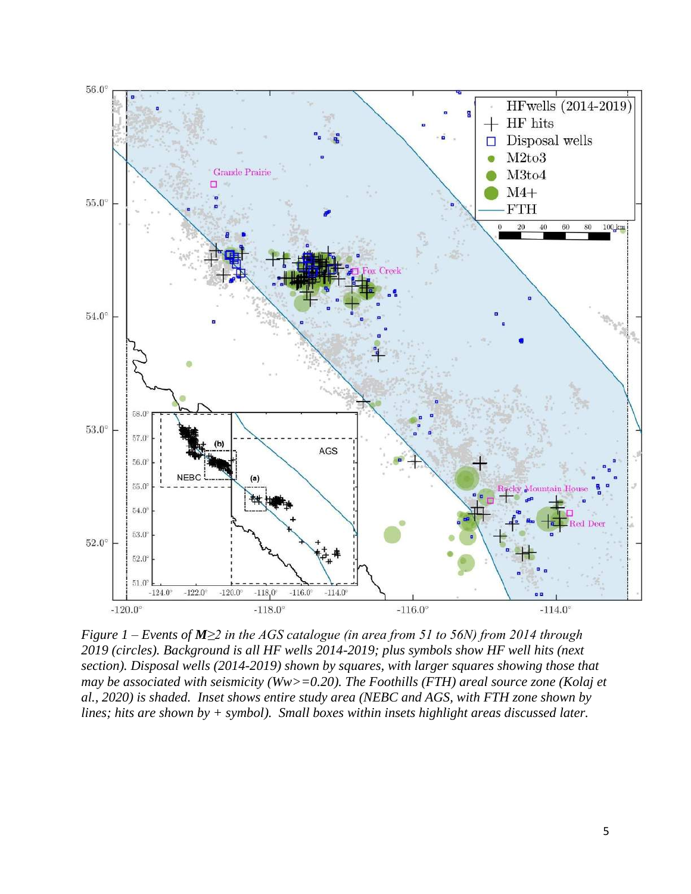

*Figure 1 – Events of M≥2 in the AGS catalogue (in area from 51 to 56N) from 2014 through 2019 (circles). Background is all HF wells 2014-2019; plus symbols show HF well hits (next section). Disposal wells (2014-2019) shown by squares, with larger squares showing those that may be associated with seismicity (Ww>=0.20). The Foothills (FTH) areal source zone (Kolaj et al., 2020) is shaded. Inset shows entire study area (NEBC and AGS, with FTH zone shown by lines; hits are shown by + symbol). Small boxes within insets highlight areas discussed later.*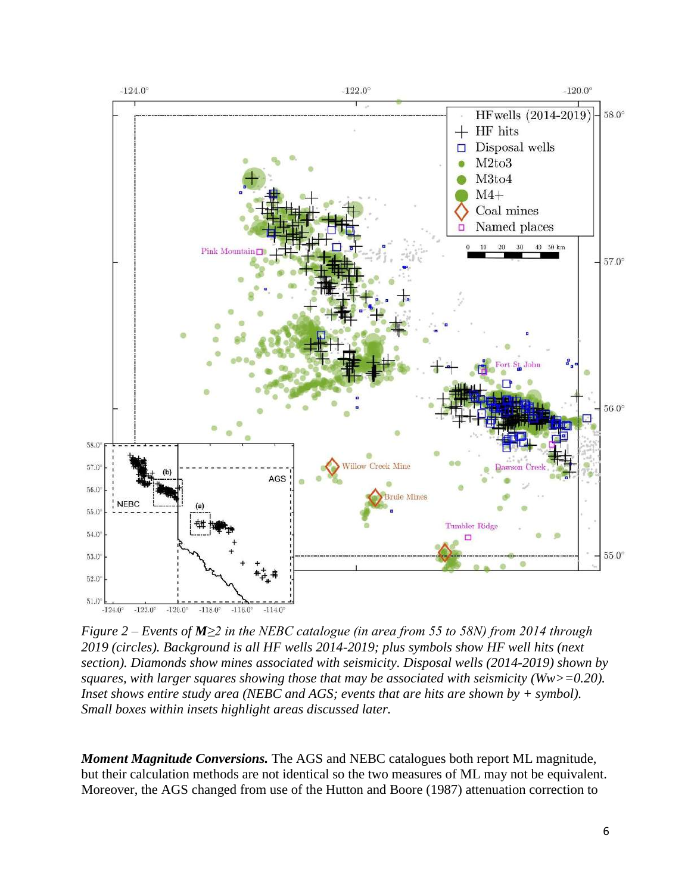

*Figure 2 – Events of M≥2 in the NEBC catalogue (in area from 55 to 58N) from 2014 through 2019 (circles). Background is all HF wells 2014-2019; plus symbols show HF well hits (next section). Diamonds show mines associated with seismicity. Disposal wells (2014-2019) shown by squares, with larger squares showing those that may be associated with seismicity (Ww>=0.20). Inset shows entire study area (NEBC and AGS; events that are hits are shown by + symbol). Small boxes within insets highlight areas discussed later.*

*Moment Magnitude Conversions.* The AGS and NEBC catalogues both report ML magnitude, but their calculation methods are not identical so the two measures of ML may not be equivalent. Moreover, the AGS changed from use of the Hutton and Boore (1987) attenuation correction to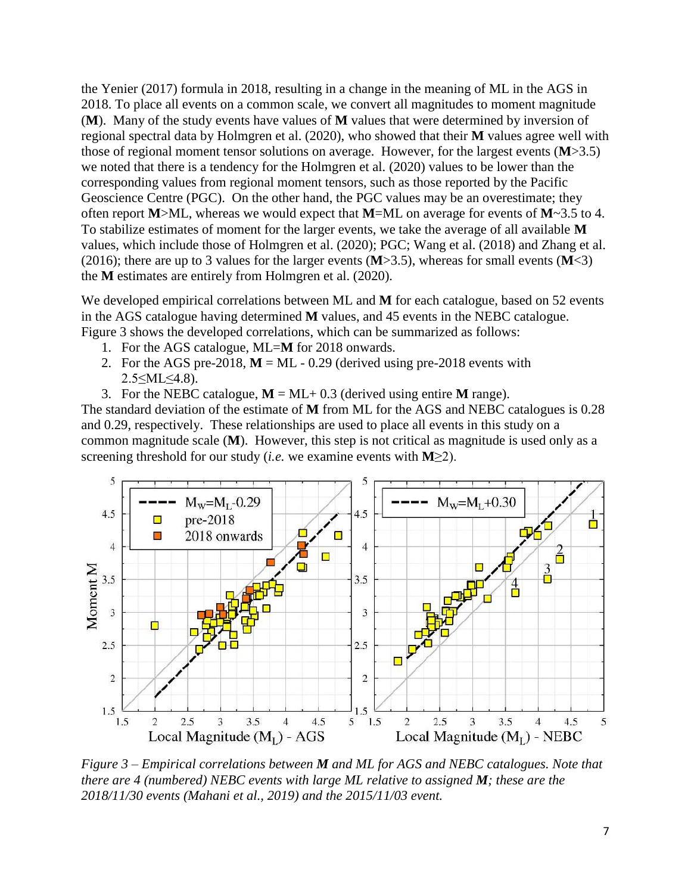the Yenier (2017) formula in 2018, resulting in a change in the meaning of ML in the AGS in 2018. To place all events on a common scale, we convert all magnitudes to moment magnitude (**M**). Many of the study events have values of **M** values that were determined by inversion of regional spectral data by Holmgren et al. (2020), who showed that their **M** values agree well with those of regional moment tensor solutions on average. However, for the largest events (**M**>3.5) we noted that there is a tendency for the Holmgren et al. (2020) values to be lower than the corresponding values from regional moment tensors, such as those reported by the Pacific Geoscience Centre (PGC). On the other hand, the PGC values may be an overestimate; they often report **M**>ML, whereas we would expect that **M**=ML on average for events of **M**~3.5 to 4. To stabilize estimates of moment for the larger events, we take the average of all available **M** values, which include those of Holmgren et al. (2020); PGC; Wang et al. (2018) and Zhang et al. (2016); there are up to 3 values for the larger events (**M**>3.5), whereas for small events (**M**<3) the **M** estimates are entirely from Holmgren et al. (2020).

We developed empirical correlations between ML and **M** for each catalogue, based on 52 events in the AGS catalogue having determined **M** values, and 45 events in the NEBC catalogue. Figure 3 shows the developed correlations, which can be summarized as follows:

- 1. For the AGS catalogue, ML=**M** for 2018 onwards.
- 2. For the AGS pre-2018,  $M = ML 0.29$  (derived using pre-2018 events with 2.5≤ML≤4.8).
- 3. For the NEBC catalogue,  $M = ML + 0.3$  (derived using entire M range).

The standard deviation of the estimate of **M** from ML for the AGS and NEBC catalogues is 0.28 and 0.29, respectively. These relationships are used to place all events in this study on a common magnitude scale (**M**). However, this step is not critical as magnitude is used only as a screening threshold for our study (*i.e.* we examine events with **M**≥2).



*Figure 3 – Empirical correlations between M and ML for AGS and NEBC catalogues. Note that there are 4 (numbered) NEBC events with large ML relative to assigned M; these are the 2018/11/30 events (Mahani et al., 2019) and the 2015/11/03 event.*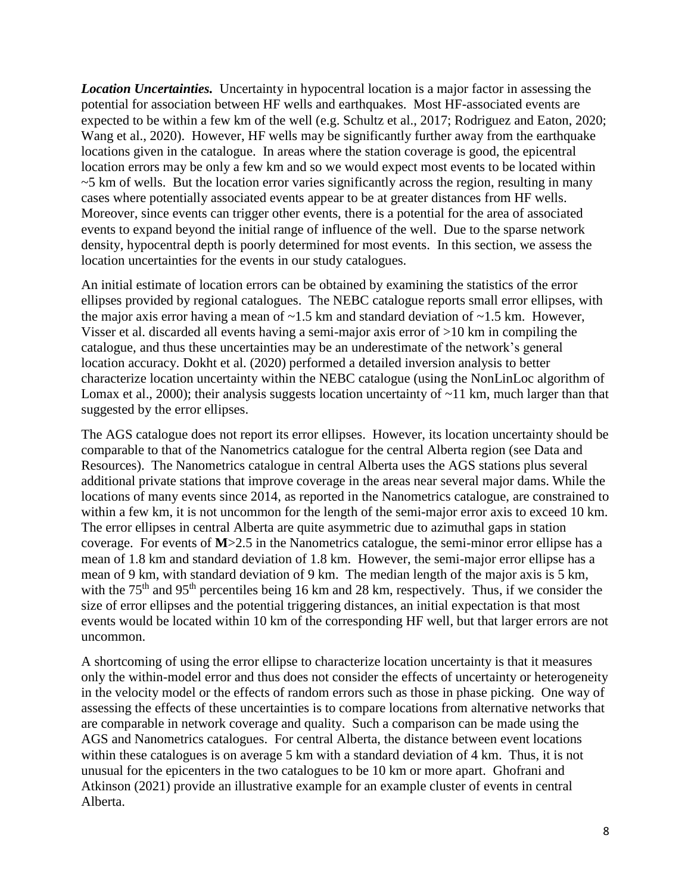*Location Uncertainties.* Uncertainty in hypocentral location is a major factor in assessing the potential for association between HF wells and earthquakes. Most HF-associated events are expected to be within a few km of the well (e.g. Schultz et al., 2017; Rodriguez and Eaton, 2020; Wang et al., 2020). However, HF wells may be significantly further away from the earthquake locations given in the catalogue. In areas where the station coverage is good, the epicentral location errors may be only a few km and so we would expect most events to be located within  $\sim$  5 km of wells. But the location error varies significantly across the region, resulting in many cases where potentially associated events appear to be at greater distances from HF wells. Moreover, since events can trigger other events, there is a potential for the area of associated events to expand beyond the initial range of influence of the well. Due to the sparse network density, hypocentral depth is poorly determined for most events. In this section, we assess the location uncertainties for the events in our study catalogues.

An initial estimate of location errors can be obtained by examining the statistics of the error ellipses provided by regional catalogues. The NEBC catalogue reports small error ellipses, with the major axis error having a mean of  $\sim$ 1.5 km and standard deviation of  $\sim$ 1.5 km. However, Visser et al. discarded all events having a semi-major axis error of >10 km in compiling the catalogue, and thus these uncertainties may be an underestimate of the network's general location accuracy. Dokht et al. (2020) performed a detailed inversion analysis to better characterize location uncertainty within the NEBC catalogue (using the NonLinLoc algorithm of Lomax et al., 2000); their analysis suggests location uncertainty of ~11 km, much larger than that suggested by the error ellipses.

The AGS catalogue does not report its error ellipses. However, its location uncertainty should be comparable to that of the Nanometrics catalogue for the central Alberta region (see Data and Resources). The Nanometrics catalogue in central Alberta uses the AGS stations plus several additional private stations that improve coverage in the areas near several major dams. While the locations of many events since 2014, as reported in the Nanometrics catalogue, are constrained to within a few km, it is not uncommon for the length of the semi-major error axis to exceed 10 km. The error ellipses in central Alberta are quite asymmetric due to azimuthal gaps in station coverage. For events of **M**>2.5 in the Nanometrics catalogue, the semi-minor error ellipse has a mean of 1.8 km and standard deviation of 1.8 km. However, the semi-major error ellipse has a mean of 9 km, with standard deviation of 9 km. The median length of the major axis is 5 km, with the  $75<sup>th</sup>$  and  $95<sup>th</sup>$  percentiles being 16 km and 28 km, respectively. Thus, if we consider the size of error ellipses and the potential triggering distances, an initial expectation is that most events would be located within 10 km of the corresponding HF well, but that larger errors are not uncommon.

A shortcoming of using the error ellipse to characterize location uncertainty is that it measures only the within-model error and thus does not consider the effects of uncertainty or heterogeneity in the velocity model or the effects of random errors such as those in phase picking. One way of assessing the effects of these uncertainties is to compare locations from alternative networks that are comparable in network coverage and quality. Such a comparison can be made using the AGS and Nanometrics catalogues. For central Alberta, the distance between event locations within these catalogues is on average 5 km with a standard deviation of 4 km. Thus, it is not unusual for the epicenters in the two catalogues to be 10 km or more apart. Ghofrani and Atkinson (2021) provide an illustrative example for an example cluster of events in central Alberta.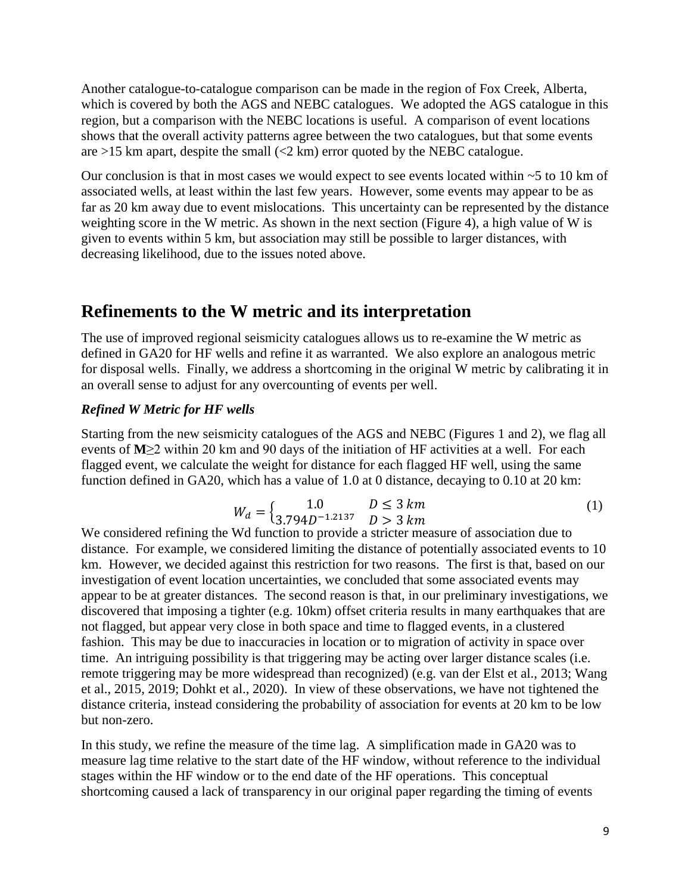Another catalogue-to-catalogue comparison can be made in the region of Fox Creek, Alberta, which is covered by both the AGS and NEBC catalogues. We adopted the AGS catalogue in this region, but a comparison with the NEBC locations is useful. A comparison of event locations shows that the overall activity patterns agree between the two catalogues, but that some events are  $>15$  km apart, despite the small  $(< 2$  km) error quoted by the NEBC catalogue.

Our conclusion is that in most cases we would expect to see events located within ~5 to 10 km of associated wells, at least within the last few years. However, some events may appear to be as far as 20 km away due to event mislocations. This uncertainty can be represented by the distance weighting score in the W metric. As shown in the next section (Figure 4), a high value of W is given to events within 5 km, but association may still be possible to larger distances, with decreasing likelihood, due to the issues noted above.

## **Refinements to the W metric and its interpretation**

The use of improved regional seismicity catalogues allows us to re-examine the W metric as defined in GA20 for HF wells and refine it as warranted. We also explore an analogous metric for disposal wells. Finally, we address a shortcoming in the original W metric by calibrating it in an overall sense to adjust for any overcounting of events per well.

### *Refined W Metric for HF wells*

Starting from the new seismicity catalogues of the AGS and NEBC (Figures 1 and 2), we flag all events of **M**≥2 within 20 km and 90 days of the initiation of HF activities at a well. For each flagged event, we calculate the weight for distance for each flagged HF well, using the same function defined in GA20, which has a value of 1.0 at 0 distance, decaying to 0.10 at 20 km:

$$
W_d = \begin{cases} 1.0 & D \le 3 \, km \\ 3.794D^{-1.2137} & D > 3 \, km \end{cases} \tag{1}
$$

We considered refining the Wd function to provide a stricter measure of association due to distance. For example, we considered limiting the distance of potentially associated events to 10 km. However, we decided against this restriction for two reasons. The first is that, based on our investigation of event location uncertainties, we concluded that some associated events may appear to be at greater distances. The second reason is that, in our preliminary investigations, we discovered that imposing a tighter (e.g. 10km) offset criteria results in many earthquakes that are not flagged, but appear very close in both space and time to flagged events, in a clustered fashion. This may be due to inaccuracies in location or to migration of activity in space over time. An intriguing possibility is that triggering may be acting over larger distance scales (i.e. remote triggering may be more widespread than recognized) (e.g. van der Elst et al., 2013; Wang et al., 2015, 2019; Dohkt et al., 2020). In view of these observations, we have not tightened the distance criteria, instead considering the probability of association for events at 20 km to be low but non-zero.

In this study, we refine the measure of the time lag. A simplification made in GA20 was to measure lag time relative to the start date of the HF window, without reference to the individual stages within the HF window or to the end date of the HF operations. This conceptual shortcoming caused a lack of transparency in our original paper regarding the timing of events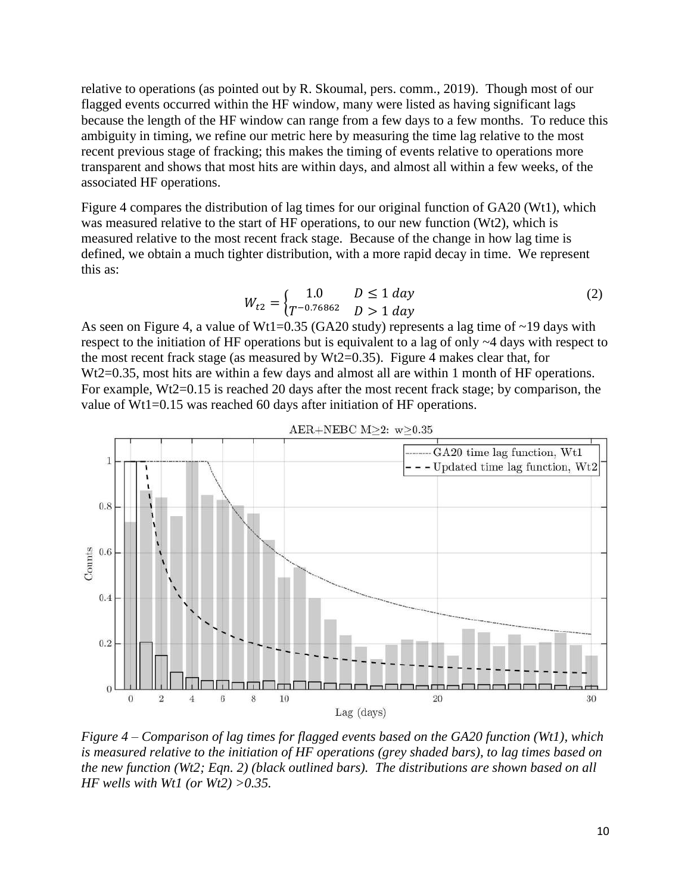relative to operations (as pointed out by R. Skoumal, pers. comm., 2019). Though most of our flagged events occurred within the HF window, many were listed as having significant lags because the length of the HF window can range from a few days to a few months. To reduce this ambiguity in timing, we refine our metric here by measuring the time lag relative to the most recent previous stage of fracking; this makes the timing of events relative to operations more transparent and shows that most hits are within days, and almost all within a few weeks, of the associated HF operations.

Figure 4 compares the distribution of lag times for our original function of GA20 (Wt1), which was measured relative to the start of HF operations, to our new function (Wt2), which is measured relative to the most recent frack stage. Because of the change in how lag time is defined, we obtain a much tighter distribution, with a more rapid decay in time. We represent this as:

$$
W_{t2} = \begin{cases} 1.0 & D \le 1 \, day \\ T^{-0.76862} & D > 1 \, day \end{cases} \tag{2}
$$

As seen on Figure 4, a value of Wt1=0.35 (GA20 study) represents a lag time of  $\sim$ 19 days with respect to the initiation of HF operations but is equivalent to a lag of only ~4 days with respect to the most recent frack stage (as measured by  $Wt2=0.35$ ). Figure 4 makes clear that, for Wt2=0.35, most hits are within a few days and almost all are within 1 month of HF operations. For example, Wt2=0.15 is reached 20 days after the most recent frack stage; by comparison, the value of Wt1=0.15 was reached 60 days after initiation of HF operations.



AER+NEBC  $M>2$ :  $w>0.35$ 

*Figure 4 – Comparison of lag times for flagged events based on the GA20 function (Wt1), which is measured relative to the initiation of HF operations (grey shaded bars), to lag times based on the new function (Wt2; Eqn. 2) (black outlined bars). The distributions are shown based on all HF wells with Wt1 (or Wt2) >0.35.*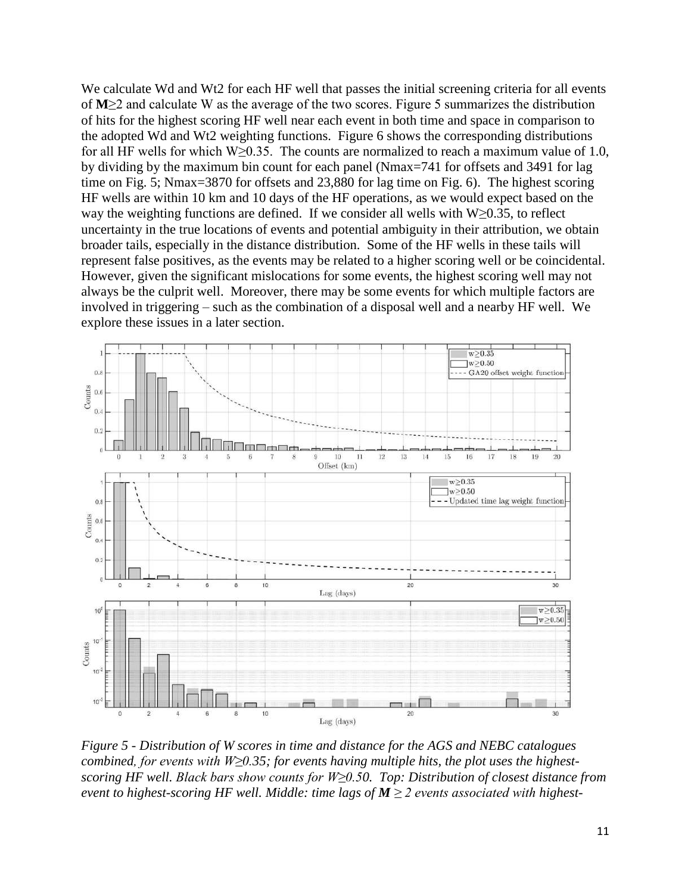We calculate Wd and Wt2 for each HF well that passes the initial screening criteria for all events of **M**≥2 and calculate W as the average of the two scores. Figure 5 summarizes the distribution of hits for the highest scoring HF well near each event in both time and space in comparison to the adopted Wd and Wt2 weighting functions. Figure 6 shows the corresponding distributions for all HF wells for which W≥0.35. The counts are normalized to reach a maximum value of 1.0, by dividing by the maximum bin count for each panel (Nmax=741 for offsets and 3491 for lag time on Fig. 5; Nmax=3870 for offsets and 23,880 for lag time on Fig. 6). The highest scoring HF wells are within 10 km and 10 days of the HF operations, as we would expect based on the way the weighting functions are defined. If we consider all wells with  $W>0.35$ , to reflect uncertainty in the true locations of events and potential ambiguity in their attribution, we obtain broader tails, especially in the distance distribution. Some of the HF wells in these tails will represent false positives, as the events may be related to a higher scoring well or be coincidental. However, given the significant mislocations for some events, the highest scoring well may not always be the culprit well. Moreover, there may be some events for which multiple factors are involved in triggering – such as the combination of a disposal well and a nearby HF well. We explore these issues in a later section.



*Figure 5 - Distribution of W scores in time and distance for the AGS and NEBC catalogues combined, for events with W≥0.35; for events having multiple hits, the plot uses the highestscoring HF well. Black bars show counts for W≥0.50. Top: Distribution of closest distance from event to highest-scoring HF well. Middle: time lags of M ≥ 2 events associated with highest-*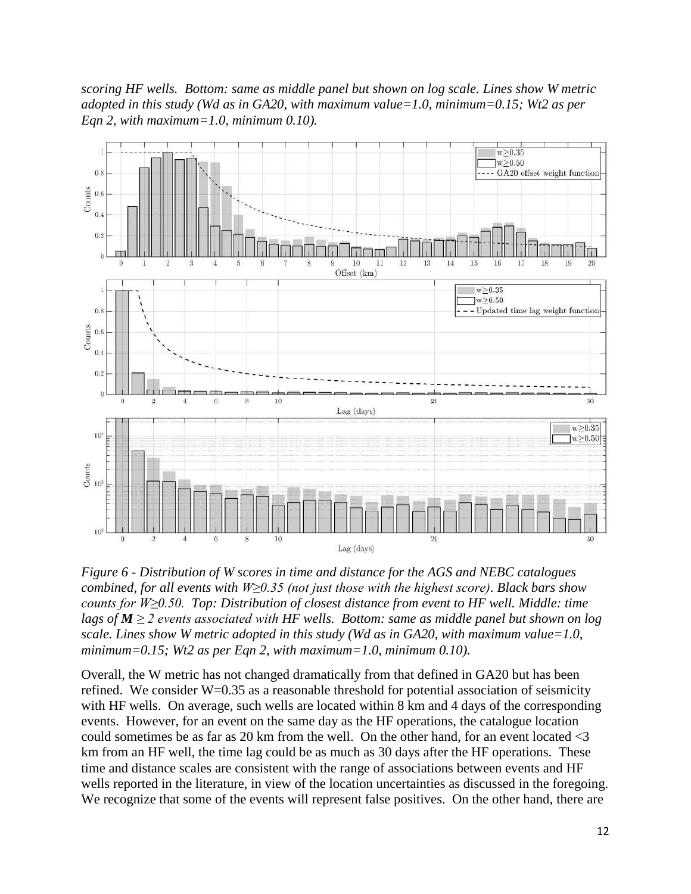*scoring HF wells. Bottom: same as middle panel but shown on log scale. Lines show W metric adopted in this study (Wd as in GA20, with maximum value=1.0, minimum=0.15; Wt2 as per Eqn 2, with maximum=1.0, minimum 0.10).*



*Figure 6 - Distribution of W scores in time and distance for the AGS and NEBC catalogues combined, for all events with W≥0.35 (not just those with the highest score). Black bars show counts for W≥0.50. Top: Distribution of closest distance from event to HF well. Middle: time lags of M ≥ 2 events associated with HF wells. Bottom: same as middle panel but shown on log scale. Lines show W metric adopted in this study (Wd as in GA20, with maximum value=1.0, minimum=0.15; Wt2 as per Eqn 2, with maximum=1.0, minimum 0.10).*

Overall, the W metric has not changed dramatically from that defined in GA20 but has been refined. We consider  $W=0.35$  as a reasonable threshold for potential association of seismicity with HF wells. On average, such wells are located within 8 km and 4 days of the corresponding events. However, for an event on the same day as the HF operations, the catalogue location could sometimes be as far as 20 km from the well. On the other hand, for an event located <3 km from an HF well, the time lag could be as much as 30 days after the HF operations. These time and distance scales are consistent with the range of associations between events and HF wells reported in the literature, in view of the location uncertainties as discussed in the foregoing. We recognize that some of the events will represent false positives. On the other hand, there are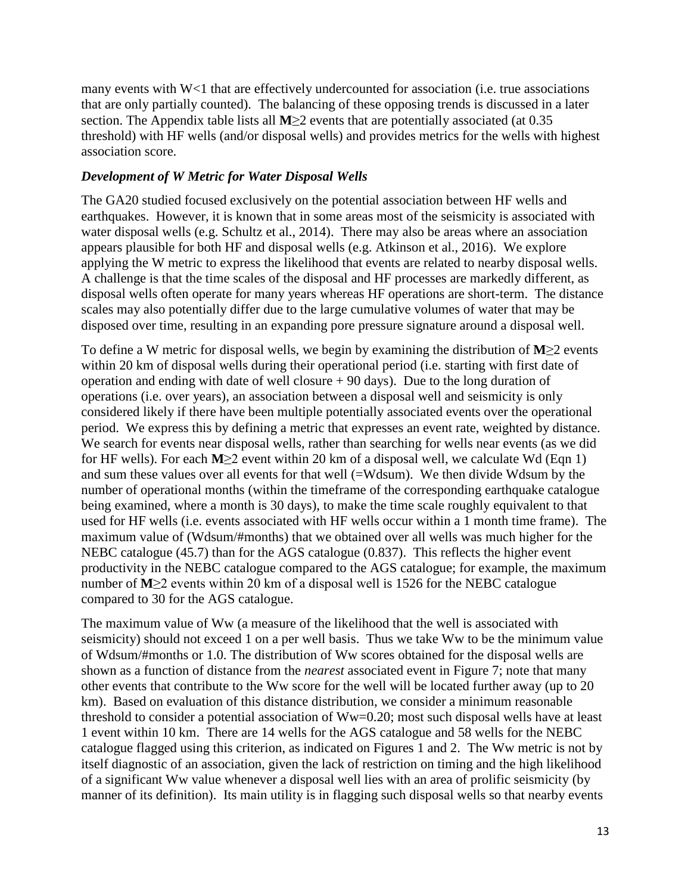many events with W<1 that are effectively undercounted for association (i.e. true associations that are only partially counted). The balancing of these opposing trends is discussed in a later section. The Appendix table lists all **M**≥2 events that are potentially associated (at 0.35 threshold) with HF wells (and/or disposal wells) and provides metrics for the wells with highest association score.

### *Development of W Metric for Water Disposal Wells*

The GA20 studied focused exclusively on the potential association between HF wells and earthquakes. However, it is known that in some areas most of the seismicity is associated with water disposal wells (e.g. Schultz et al., 2014). There may also be areas where an association appears plausible for both HF and disposal wells (e.g. Atkinson et al., 2016). We explore applying the W metric to express the likelihood that events are related to nearby disposal wells. A challenge is that the time scales of the disposal and HF processes are markedly different, as disposal wells often operate for many years whereas HF operations are short-term. The distance scales may also potentially differ due to the large cumulative volumes of water that may be disposed over time, resulting in an expanding pore pressure signature around a disposal well.

To define a W metric for disposal wells, we begin by examining the distribution of **M**≥2 events within 20 km of disposal wells during their operational period (i.e. starting with first date of operation and ending with date of well closure  $+90$  days). Due to the long duration of operations (i.e. over years), an association between a disposal well and seismicity is only considered likely if there have been multiple potentially associated events over the operational period. We express this by defining a metric that expresses an event rate, weighted by distance. We search for events near disposal wells, rather than searching for wells near events (as we did for HF wells). For each **M**≥2 event within 20 km of a disposal well, we calculate Wd (Eqn 1) and sum these values over all events for that well (=Wdsum). We then divide Wdsum by the number of operational months (within the timeframe of the corresponding earthquake catalogue being examined, where a month is 30 days), to make the time scale roughly equivalent to that used for HF wells (i.e. events associated with HF wells occur within a 1 month time frame). The maximum value of (Wdsum/#months) that we obtained over all wells was much higher for the NEBC catalogue (45.7) than for the AGS catalogue (0.837). This reflects the higher event productivity in the NEBC catalogue compared to the AGS catalogue; for example, the maximum number of **M**≥2 events within 20 km of a disposal well is 1526 for the NEBC catalogue compared to 30 for the AGS catalogue.

The maximum value of Ww (a measure of the likelihood that the well is associated with seismicity) should not exceed 1 on a per well basis. Thus we take Ww to be the minimum value of Wdsum/#months or 1.0. The distribution of Ww scores obtained for the disposal wells are shown as a function of distance from the *nearest* associated event in Figure 7; note that many other events that contribute to the Ww score for the well will be located further away (up to 20 km). Based on evaluation of this distance distribution, we consider a minimum reasonable threshold to consider a potential association of Ww=0.20; most such disposal wells have at least 1 event within 10 km. There are 14 wells for the AGS catalogue and 58 wells for the NEBC catalogue flagged using this criterion, as indicated on Figures 1 and 2. The Ww metric is not by itself diagnostic of an association, given the lack of restriction on timing and the high likelihood of a significant Ww value whenever a disposal well lies with an area of prolific seismicity (by manner of its definition). Its main utility is in flagging such disposal wells so that nearby events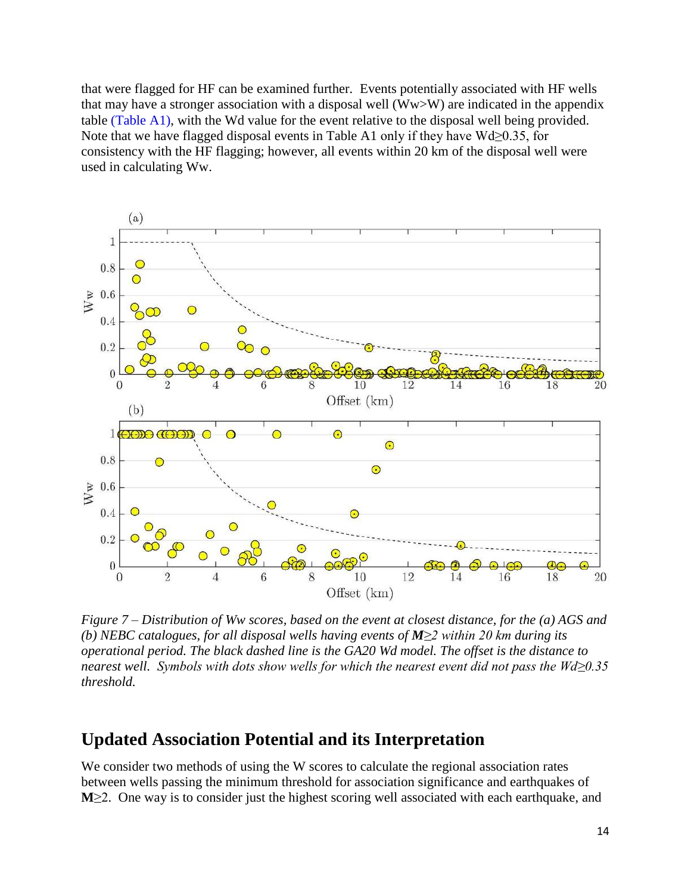that were flagged for HF can be examined further. Events potentially associated with HF wells that may have a stronger association with a disposal well (Ww>W) are indicated in the appendix table (Table A1), with the Wd value for the event relative to the disposal well being provided. Note that we have flagged disposal events in Table A1 only if they have  $Wd\geq 0.35$ , for consistency with the HF flagging; however, all events within 20 km of the disposal well were used in calculating Ww.



*Figure 7 – Distribution of Ww scores, based on the event at closest distance, for the (a) AGS and (b) NEBC catalogues, for all disposal wells having events of M≥2 within 20 km during its operational period. The black dashed line is the GA20 Wd model. The offset is the distance to nearest well. Symbols with dots show wells for which the nearest event did not pass the Wd≥0.35 threshold.*

### **Updated Association Potential and its Interpretation**

We consider two methods of using the W scores to calculate the regional association rates between wells passing the minimum threshold for association significance and earthquakes of **M**≥2. One way is to consider just the highest scoring well associated with each earthquake, and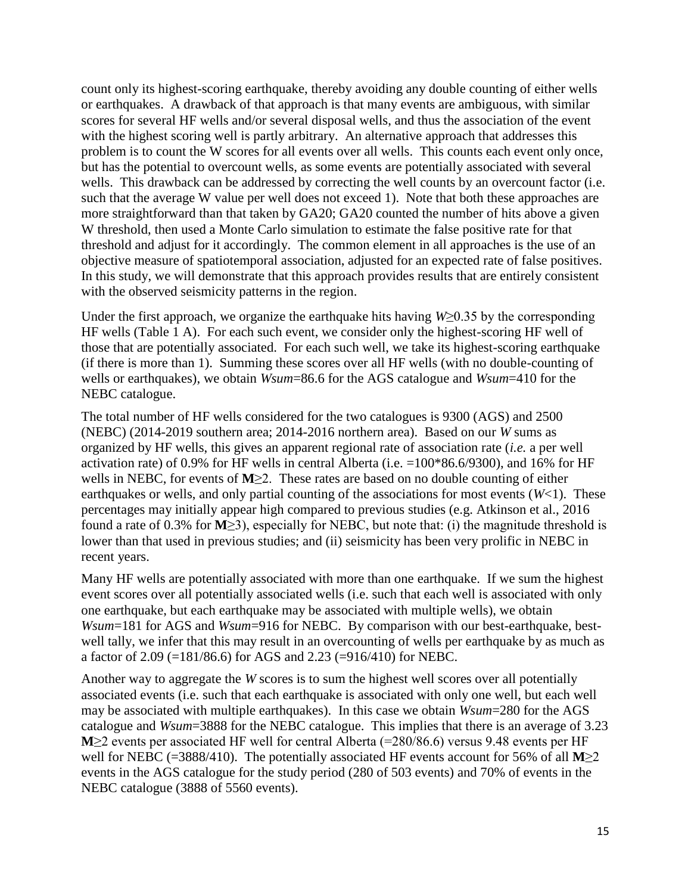count only its highest-scoring earthquake, thereby avoiding any double counting of either wells or earthquakes. A drawback of that approach is that many events are ambiguous, with similar scores for several HF wells and/or several disposal wells, and thus the association of the event with the highest scoring well is partly arbitrary. An alternative approach that addresses this problem is to count the W scores for all events over all wells. This counts each event only once, but has the potential to overcount wells, as some events are potentially associated with several wells. This drawback can be addressed by correcting the well counts by an overcount factor (i.e. such that the average W value per well does not exceed 1). Note that both these approaches are more straightforward than that taken by GA20; GA20 counted the number of hits above a given W threshold, then used a Monte Carlo simulation to estimate the false positive rate for that threshold and adjust for it accordingly. The common element in all approaches is the use of an objective measure of spatiotemporal association, adjusted for an expected rate of false positives. In this study, we will demonstrate that this approach provides results that are entirely consistent with the observed seismicity patterns in the region.

Under the first approach, we organize the earthquake hits having *W*≥0.35 by the corresponding HF wells (Table 1 A). For each such event, we consider only the highest-scoring HF well of those that are potentially associated. For each such well, we take its highest-scoring earthquake (if there is more than 1). Summing these scores over all HF wells (with no double-counting of wells or earthquakes), we obtain *Wsum*=86.6 for the AGS catalogue and *Wsum*=410 for the NEBC catalogue.

The total number of HF wells considered for the two catalogues is 9300 (AGS) and 2500 (NEBC) (2014-2019 southern area; 2014-2016 northern area). Based on our *W* sums as organized by HF wells, this gives an apparent regional rate of association rate (*i.e.* a per well activation rate) of 0.9% for HF wells in central Alberta (i.e. =100\*86.6/9300), and 16% for HF wells in NEBC, for events of **M**≥2. These rates are based on no double counting of either earthquakes or wells, and only partial counting of the associations for most events (*W*<1). These percentages may initially appear high compared to previous studies (e.g. Atkinson et al., 2016 found a rate of 0.3% for **M**≥3), especially for NEBC, but note that: (i) the magnitude threshold is lower than that used in previous studies; and (ii) seismicity has been very prolific in NEBC in recent years.

Many HF wells are potentially associated with more than one earthquake. If we sum the highest event scores over all potentially associated wells (i.e. such that each well is associated with only one earthquake, but each earthquake may be associated with multiple wells), we obtain *Wsum*=181 for AGS and *Wsum*=916 for NEBC. By comparison with our best-earthquake, bestwell tally, we infer that this may result in an overcounting of wells per earthquake by as much as a factor of 2.09 (=181/86.6) for AGS and 2.23 (=916/410) for NEBC.

Another way to aggregate the *W* scores is to sum the highest well scores over all potentially associated events (i.e. such that each earthquake is associated with only one well, but each well may be associated with multiple earthquakes). In this case we obtain *Wsum*=280 for the AGS catalogue and *Wsum*=3888 for the NEBC catalogue. This implies that there is an average of 3.23 **M**≥2 events per associated HF well for central Alberta (=280/86.6) versus 9.48 events per HF well for NEBC (=3888/410). The potentially associated HF events account for 56% of all **M**≥2 events in the AGS catalogue for the study period (280 of 503 events) and 70% of events in the NEBC catalogue (3888 of 5560 events).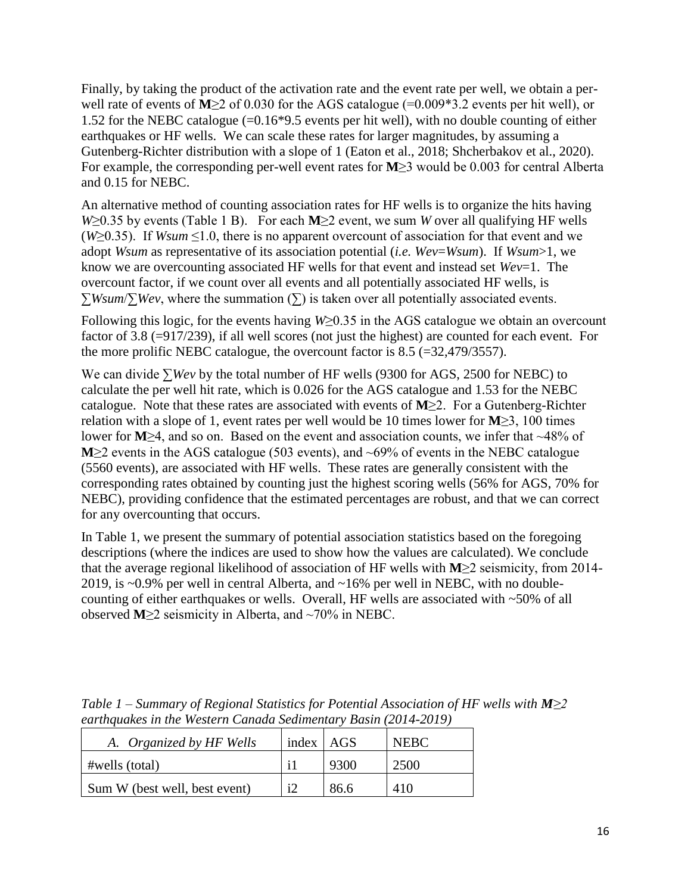Finally, by taking the product of the activation rate and the event rate per well, we obtain a perwell rate of events of **M**≥2 of 0.030 for the AGS catalogue (=0.009\*3.2 events per hit well), or 1.52 for the NEBC catalogue (=0.16\*9.5 events per hit well), with no double counting of either earthquakes or HF wells. We can scale these rates for larger magnitudes, by assuming a Gutenberg-Richter distribution with a slope of 1 (Eaton et al., 2018; Shcherbakov et al., 2020). For example, the corresponding per-well event rates for **M**≥3 would be 0.003 for central Alberta and 0.15 for NEBC.

An alternative method of counting association rates for HF wells is to organize the hits having *W*≥0.35 by events (Table 1 B). For each **M**≥2 event, we sum *W* over all qualifying HF wells ( $W \geq 0.35$ ). If *Wsum*  $\leq 1.0$ , there is no apparent overcount of association for that event and we adopt *Wsum* as representative of its association potential (*i.e. Wev*=*Wsum*). If *Wsum*>1, we know we are overcounting associated HF wells for that event and instead set *Wev*=1. The overcount factor, if we count over all events and all potentially associated HF wells, is ∑*Wsum*/∑*Wev*, where the summation (∑) is taken over all potentially associated events.

Following this logic, for the events having *W*≥0.35 in the AGS catalogue we obtain an overcount factor of 3.8 (=917/239), if all well scores (not just the highest) are counted for each event. For the more prolific NEBC catalogue, the overcount factor is  $8.5$  (=32,479/3557).

We can divide ∑*Wev* by the total number of HF wells (9300 for AGS, 2500 for NEBC) to calculate the per well hit rate, which is 0.026 for the AGS catalogue and 1.53 for the NEBC catalogue. Note that these rates are associated with events of **M**≥2. For a Gutenberg-Richter relation with a slope of 1, event rates per well would be 10 times lower for **M**≥3, 100 times lower for **M**≥4, and so on. Based on the event and association counts, we infer that ~48% of **M**≥2 events in the AGS catalogue (503 events), and ~69% of events in the NEBC catalogue (5560 events), are associated with HF wells. These rates are generally consistent with the corresponding rates obtained by counting just the highest scoring wells (56% for AGS, 70% for NEBC), providing confidence that the estimated percentages are robust, and that we can correct for any overcounting that occurs.

In Table 1, we present the summary of potential association statistics based on the foregoing descriptions (where the indices are used to show how the values are calculated). We conclude that the average regional likelihood of association of HF wells with **M**≥2 seismicity, from 2014- 2019, is ~0.9% per well in central Alberta, and ~16% per well in NEBC, with no doublecounting of either earthquakes or wells. Overall, HF wells are associated with ~50% of all observed **M**≥2 seismicity in Alberta, and ~70% in NEBC.

| Table 1 – Summary of Regional Statistics for Potential Association of HF wells with $M \geq 2$ |  |  |  |  |  |  |  |
|------------------------------------------------------------------------------------------------|--|--|--|--|--|--|--|
| earthquakes in the Western Canada Sedimentary Basin (2014-2019)                                |  |  |  |  |  |  |  |
|                                                                                                |  |  |  |  |  |  |  |

| A. Organized by HF Wells      | index $AGS$ |      | <b>NEBC</b> |
|-------------------------------|-------------|------|-------------|
| #wells (total)                |             | 9300 | 2500        |
| Sum W (best well, best event) |             | 86.6 | 410         |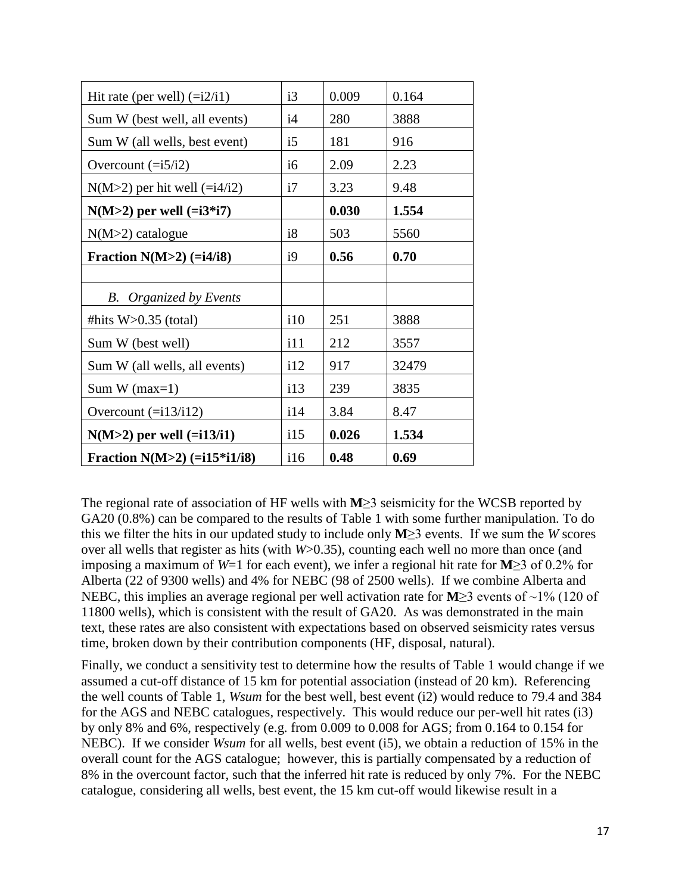| Hit rate (per well) $(=\frac{12}{i1})$ | i3  | 0.009 | 0.164 |
|----------------------------------------|-----|-------|-------|
| Sum W (best well, all events)          | i4  | 280   | 3888  |
| Sum W (all wells, best event)          | i5  | 181   | 916   |
| Overcount $(=i5/i2)$                   | i6  | 2.09  | 2.23  |
| $N(M>2)$ per hit well (= $i4/i2$ )     | i7  | 3.23  | 9.48  |
| $N(M>2)$ per well $(=i3* i7)$          |     | 0.030 | 1.554 |
| $N(M>2)$ catalogue                     | i8  | 503   | 5560  |
| Fraction $N(M>2)$ (=i4/i8)             | i9  | 0.56  | 0.70  |
|                                        |     |       |       |
| B.<br>Organized by Events              |     |       |       |
| #hits $W>0.35$ (total)                 | i10 | 251   | 3888  |
| Sum W (best well)                      | i11 | 212   | 3557  |
| Sum W (all wells, all events)          | i12 | 917   | 32479 |
| Sum W $(max=1)$                        | i13 | 239   | 3835  |
| Overcount $(=i13/i12)$                 | 114 | 3.84  | 8.47  |
| $N(M>2)$ per well $(=i13/i1)$          | 115 | 0.026 | 1.534 |
| Fraction $N(M>2)$ (=i15*i1/i8)         | 116 | 0.48  | 0.69  |

The regional rate of association of HF wells with **M**≥3 seismicity for the WCSB reported by GA20 (0.8%) can be compared to the results of Table 1 with some further manipulation. To do this we filter the hits in our updated study to include only **M**≥3 events. If we sum the *W* scores over all wells that register as hits (with *W*>0.35), counting each well no more than once (and imposing a maximum of *W*=1 for each event), we infer a regional hit rate for **M**≥3 of 0.2% for Alberta (22 of 9300 wells) and 4% for NEBC (98 of 2500 wells). If we combine Alberta and NEBC, this implies an average regional per well activation rate for **M**≥3 events of ~1% (120 of 11800 wells), which is consistent with the result of GA20. As was demonstrated in the main text, these rates are also consistent with expectations based on observed seismicity rates versus time, broken down by their contribution components (HF, disposal, natural).

Finally, we conduct a sensitivity test to determine how the results of Table 1 would change if we assumed a cut-off distance of 15 km for potential association (instead of 20 km). Referencing the well counts of Table 1, *Wsum* for the best well, best event (i2) would reduce to 79.4 and 384 for the AGS and NEBC catalogues, respectively. This would reduce our per-well hit rates (i3) by only 8% and 6%, respectively (e.g. from 0.009 to 0.008 for AGS; from 0.164 to 0.154 for NEBC). If we consider *Wsum* for all wells, best event (i5), we obtain a reduction of 15% in the overall count for the AGS catalogue; however, this is partially compensated by a reduction of 8% in the overcount factor, such that the inferred hit rate is reduced by only 7%. For the NEBC catalogue, considering all wells, best event, the 15 km cut-off would likewise result in a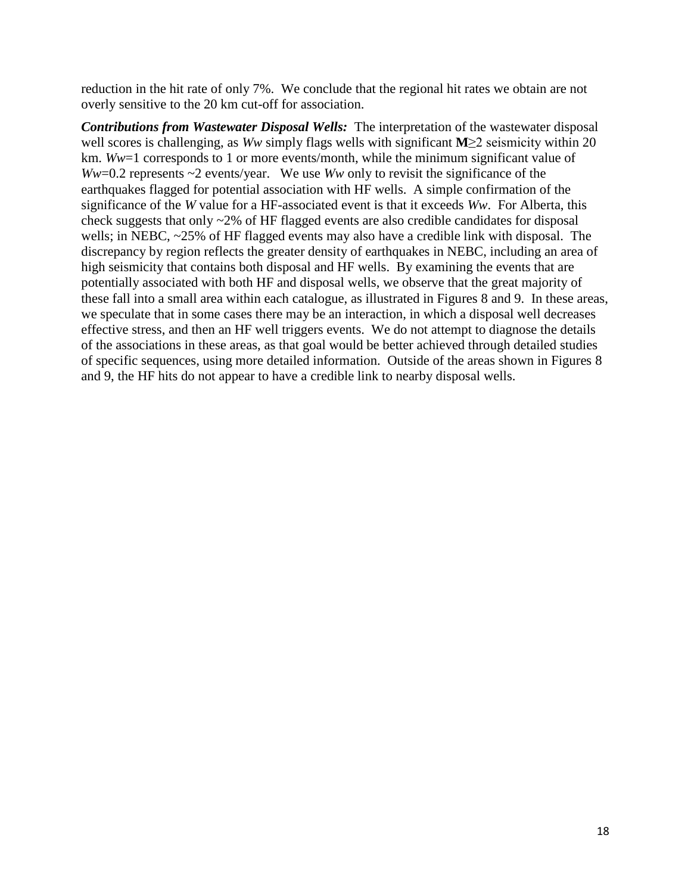reduction in the hit rate of only 7%. We conclude that the regional hit rates we obtain are not overly sensitive to the 20 km cut-off for association.

*Contributions from Wastewater Disposal Wells:* The interpretation of the wastewater disposal well scores is challenging, as *Ww* simply flags wells with significant **M**≥2 seismicity within 20 km. *Ww*=1 corresponds to 1 or more events/month, while the minimum significant value of *Ww*=0.2 represents ~2 events/year. We use *Ww* only to revisit the significance of the earthquakes flagged for potential association with HF wells. A simple confirmation of the significance of the *W* value for a HF-associated event is that it exceeds *Ww*. For Alberta, this check suggests that only ~2% of HF flagged events are also credible candidates for disposal wells; in NEBC, ~25% of HF flagged events may also have a credible link with disposal. The discrepancy by region reflects the greater density of earthquakes in NEBC, including an area of high seismicity that contains both disposal and HF wells. By examining the events that are potentially associated with both HF and disposal wells, we observe that the great majority of these fall into a small area within each catalogue, as illustrated in Figures 8 and 9. In these areas, we speculate that in some cases there may be an interaction, in which a disposal well decreases effective stress, and then an HF well triggers events. We do not attempt to diagnose the details of the associations in these areas, as that goal would be better achieved through detailed studies of specific sequences, using more detailed information. Outside of the areas shown in Figures 8 and 9, the HF hits do not appear to have a credible link to nearby disposal wells.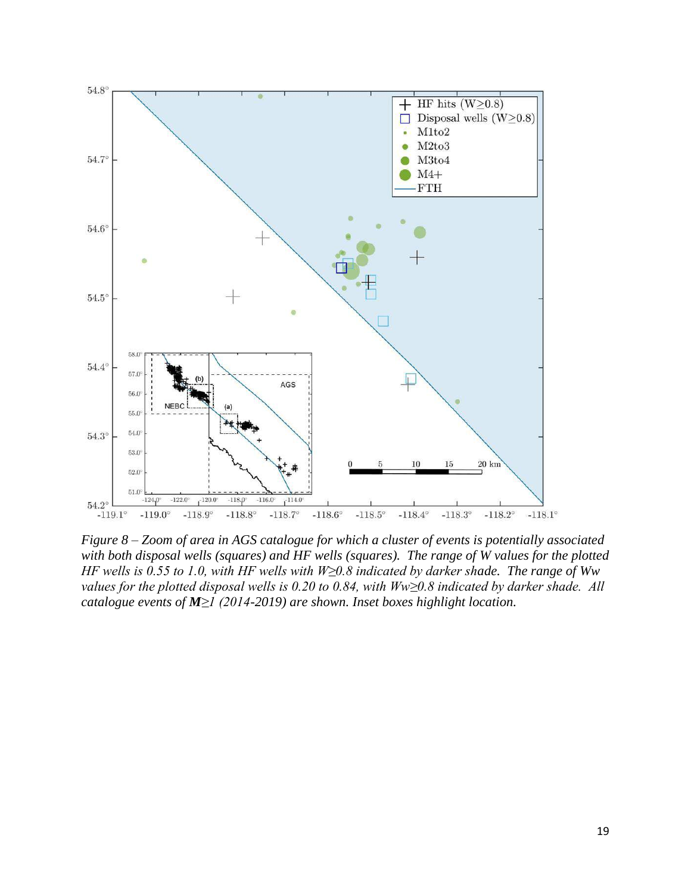

*Figure 8 – Zoom of area in AGS catalogue for which a cluster of events is potentially associated with both disposal wells (squares) and HF wells (squares). The range of W values for the plotted HF wells is 0.55 to 1.0, with HF wells with W≥0.8 indicated by darker shade. The range of Ww values for the plotted disposal wells is 0.20 to 0.84, with Ww≥0.8 indicated by darker shade. All catalogue events of M≥1 (2014-2019) are shown. Inset boxes highlight location.*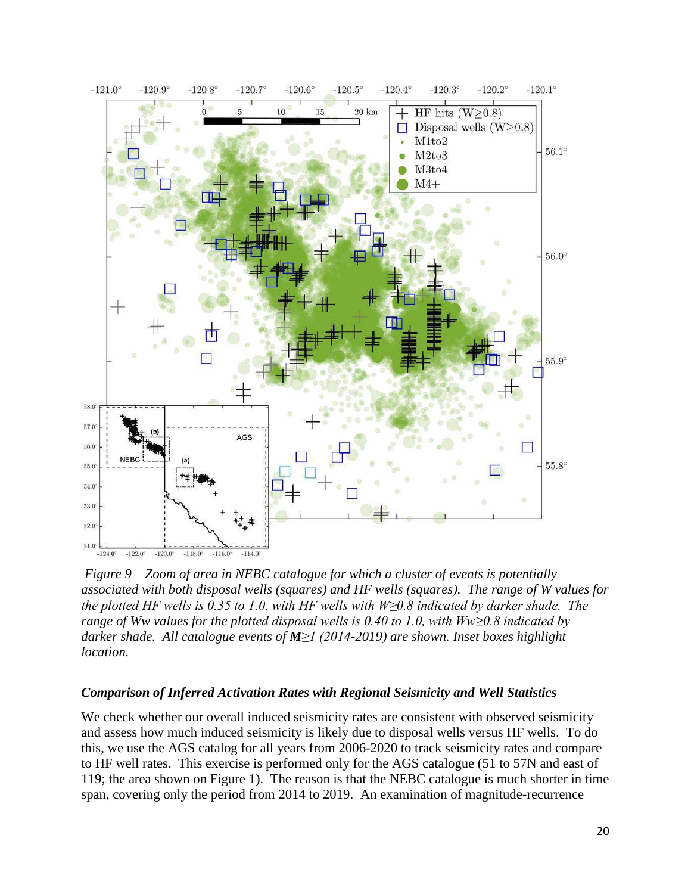

 $-121.0^{\circ}$  $-120.8^{\circ}$  $-120.7^{\circ}$  $-120.3^{\circ}$  $-120.2^{\circ}$  $-120.1^{\circ}$  $-120.9^\circ$  $-120.6^{\circ}$  $-120.5^{\circ}$  $-120.4^{\circ}$ 

*Figure 9 – Zoom of area in NEBC catalogue for which a cluster of events is potentially associated with both disposal wells (squares) and HF wells (squares). The range of W values for the plotted HF wells is 0.35 to 1.0, with HF wells with W≥0.8 indicated by darker shade. The range of Ww values for the plotted disposal wells is 0.40 to 1.0, with Ww≥0.8 indicated by darker shade. All catalogue events of M≥1 (2014-2019) are shown. Inset boxes highlight location.*

#### *Comparison of Inferred Activation Rates with Regional Seismicity and Well Statistics*

We check whether our overall induced seismicity rates are consistent with observed seismicity and assess how much induced seismicity is likely due to disposal wells versus HF wells. To do this, we use the AGS catalog for all years from 2006-2020 to track seismicity rates and compare to HF well rates. This exercise is performed only for the AGS catalogue (51 to 57N and east of 119; the area shown on Figure 1). The reason is that the NEBC catalogue is much shorter in time span, covering only the period from 2014 to 2019. An examination of magnitude-recurrence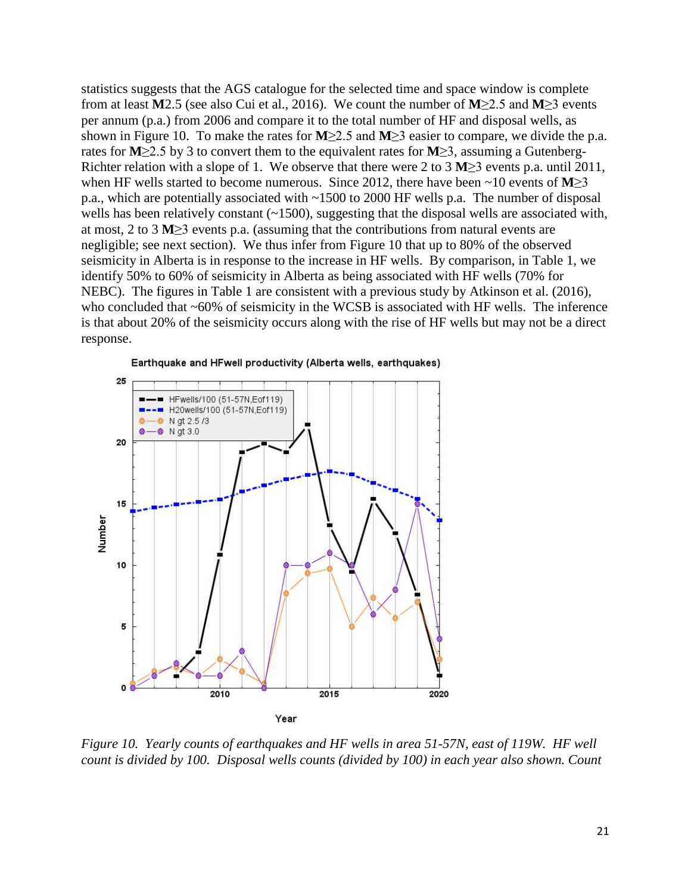statistics suggests that the AGS catalogue for the selected time and space window is complete from at least **M**2.5 (see also Cui et al., 2016). We count the number of **M**≥2.5 and **M**≥3 events per annum (p.a.) from 2006 and compare it to the total number of HF and disposal wells, as shown in Figure 10. To make the rates for **M**≥2.5 and **M**≥3 easier to compare, we divide the p.a. rates for **M**≥2.5 by 3 to convert them to the equivalent rates for **M**≥3, assuming a Gutenberg-Richter relation with a slope of 1. We observe that there were 2 to 3 **M**≥3 events p.a. until 2011, when HF wells started to become numerous. Since 2012, there have been ~10 events of **M**≥3 p.a., which are potentially associated with ~1500 to 2000 HF wells p.a. The number of disposal wells has been relatively constant  $(-1500)$ , suggesting that the disposal wells are associated with, at most, 2 to 3 **M**≥3 events p.a. (assuming that the contributions from natural events are negligible; see next section). We thus infer from Figure 10 that up to 80% of the observed seismicity in Alberta is in response to the increase in HF wells. By comparison, in Table 1, we identify 50% to 60% of seismicity in Alberta as being associated with HF wells (70% for NEBC). The figures in Table 1 are consistent with a previous study by Atkinson et al. (2016), who concluded that ~60% of seismicity in the WCSB is associated with HF wells. The inference is that about 20% of the seismicity occurs along with the rise of HF wells but may not be a direct response.



*Figure 10. Yearly counts of earthquakes and HF wells in area 51-57N, east of 119W. HF well count is divided by 100. Disposal wells counts (divided by 100) in each year also shown. Count*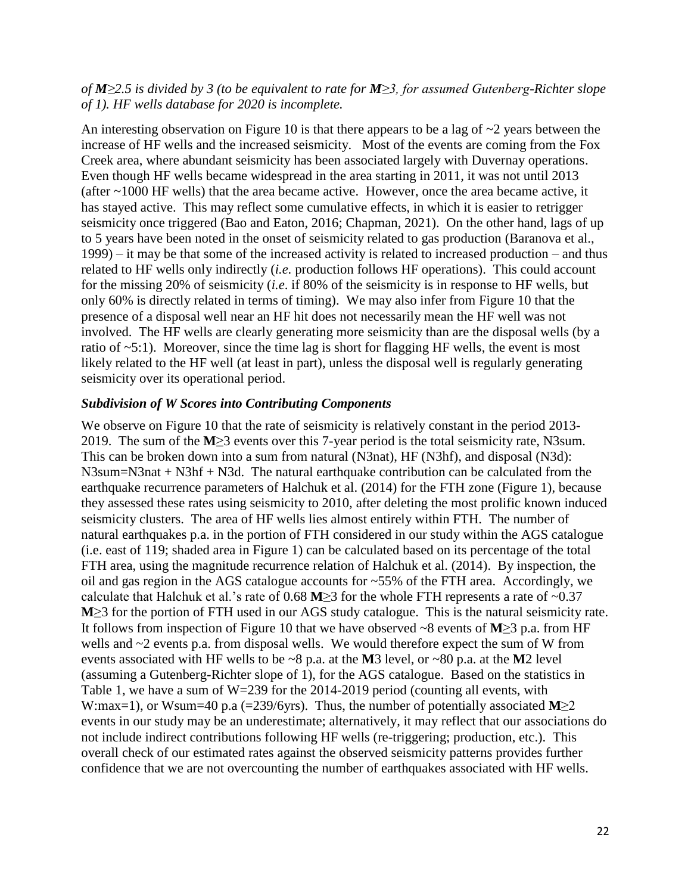### *of M≥2.5 is divided by 3 (to be equivalent to rate for M≥3, for assumed Gutenberg-Richter slope of 1). HF wells database for 2020 is incomplete.*

An interesting observation on Figure 10 is that there appears to be a lag of ~2 years between the increase of HF wells and the increased seismicity. Most of the events are coming from the Fox Creek area, where abundant seismicity has been associated largely with Duvernay operations. Even though HF wells became widespread in the area starting in 2011, it was not until 2013 (after ~1000 HF wells) that the area became active. However, once the area became active, it has stayed active. This may reflect some cumulative effects, in which it is easier to retrigger seismicity once triggered (Bao and Eaton, 2016; Chapman, 2021). On the other hand, lags of up to 5 years have been noted in the onset of seismicity related to gas production (Baranova et al., 1999) – it may be that some of the increased activity is related to increased production – and thus related to HF wells only indirectly (*i.e.* production follows HF operations). This could account for the missing 20% of seismicity (*i.e*. if 80% of the seismicity is in response to HF wells, but only 60% is directly related in terms of timing). We may also infer from Figure 10 that the presence of a disposal well near an HF hit does not necessarily mean the HF well was not involved. The HF wells are clearly generating more seismicity than are the disposal wells (by a ratio of  $\sim$ 5:1). Moreover, since the time lag is short for flagging HF wells, the event is most likely related to the HF well (at least in part), unless the disposal well is regularly generating seismicity over its operational period.

#### *Subdivision of W Scores into Contributing Components*

We observe on Figure 10 that the rate of seismicity is relatively constant in the period 2013-2019. The sum of the **M**≥3 events over this 7-year period is the total seismicity rate, N3sum. This can be broken down into a sum from natural (N3nat), HF (N3hf), and disposal (N3d): N3sum=N3nat + N3hf + N3d. The natural earthquake contribution can be calculated from the earthquake recurrence parameters of Halchuk et al. (2014) for the FTH zone (Figure 1), because they assessed these rates using seismicity to 2010, after deleting the most prolific known induced seismicity clusters. The area of HF wells lies almost entirely within FTH. The number of natural earthquakes p.a. in the portion of FTH considered in our study within the AGS catalogue (i.e. east of 119; shaded area in Figure 1) can be calculated based on its percentage of the total FTH area, using the magnitude recurrence relation of Halchuk et al. (2014). By inspection, the oil and gas region in the AGS catalogue accounts for ~55% of the FTH area. Accordingly, we calculate that Halchuk et al.'s rate of 0.68 **M**≥3 for the whole FTH represents a rate of ~0.37 **M**≥3 for the portion of FTH used in our AGS study catalogue. This is the natural seismicity rate. It follows from inspection of Figure 10 that we have observed ~8 events of **M**≥3 p.a. from HF wells and  $\sim$ 2 events p.a. from disposal wells. We would therefore expect the sum of W from events associated with HF wells to be ~8 p.a. at the **M**3 level, or ~80 p.a. at the **M**2 level (assuming a Gutenberg-Richter slope of 1), for the AGS catalogue. Based on the statistics in Table 1, we have a sum of W=239 for the 2014-2019 period (counting all events, with W:max=1), or Wsum=40 p.a (=239/6yrs). Thus, the number of potentially associated **M**≥2 events in our study may be an underestimate; alternatively, it may reflect that our associations do not include indirect contributions following HF wells (re-triggering; production, etc.). This overall check of our estimated rates against the observed seismicity patterns provides further confidence that we are not overcounting the number of earthquakes associated with HF wells.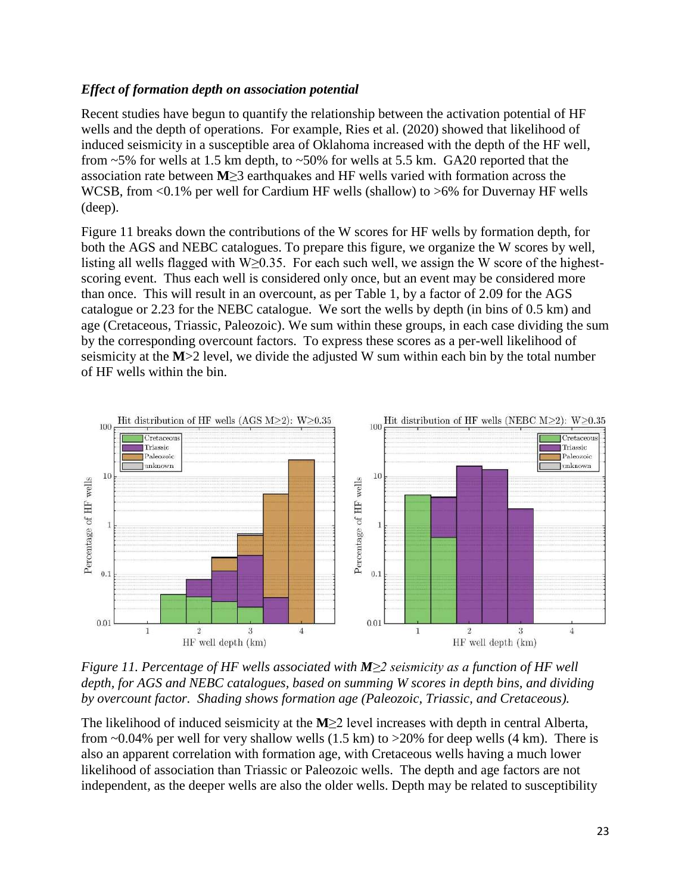### *Effect of formation depth on association potential*

Recent studies have begun to quantify the relationship between the activation potential of HF wells and the depth of operations. For example, Ries et al. (2020) showed that likelihood of induced seismicity in a susceptible area of Oklahoma increased with the depth of the HF well, from  $\sim$  5% for wells at 1.5 km depth, to  $\sim$  50% for wells at 5.5 km. GA20 reported that the association rate between **M**≥3 earthquakes and HF wells varied with formation across the WCSB, from <0.1% per well for Cardium HF wells (shallow) to >6% for Duvernay HF wells (deep).

Figure 11 breaks down the contributions of the W scores for HF wells by formation depth, for both the AGS and NEBC catalogues. To prepare this figure, we organize the W scores by well, listing all wells flagged with W≥0.35. For each such well, we assign the W score of the highestscoring event. Thus each well is considered only once, but an event may be considered more than once. This will result in an overcount, as per Table 1, by a factor of 2.09 for the AGS catalogue or 2.23 for the NEBC catalogue. We sort the wells by depth (in bins of 0.5 km) and age (Cretaceous, Triassic, Paleozoic). We sum within these groups, in each case dividing the sum by the corresponding overcount factors. To express these scores as a per-well likelihood of seismicity at the **M**>2 level, we divide the adjusted W sum within each bin by the total number of HF wells within the bin.



*Figure 11. Percentage of HF wells associated with <i>M≥2 seismicity as a function of HF well depth, for AGS and NEBC catalogues, based on summing W scores in depth bins, and dividing by overcount factor. Shading shows formation age (Paleozoic, Triassic, and Cretaceous).*

The likelihood of induced seismicity at the **M**≥2 level increases with depth in central Alberta, from  $\sim 0.04\%$  per well for very shallow wells (1.5 km) to  $>20\%$  for deep wells (4 km). There is also an apparent correlation with formation age, with Cretaceous wells having a much lower likelihood of association than Triassic or Paleozoic wells. The depth and age factors are not independent, as the deeper wells are also the older wells. Depth may be related to susceptibility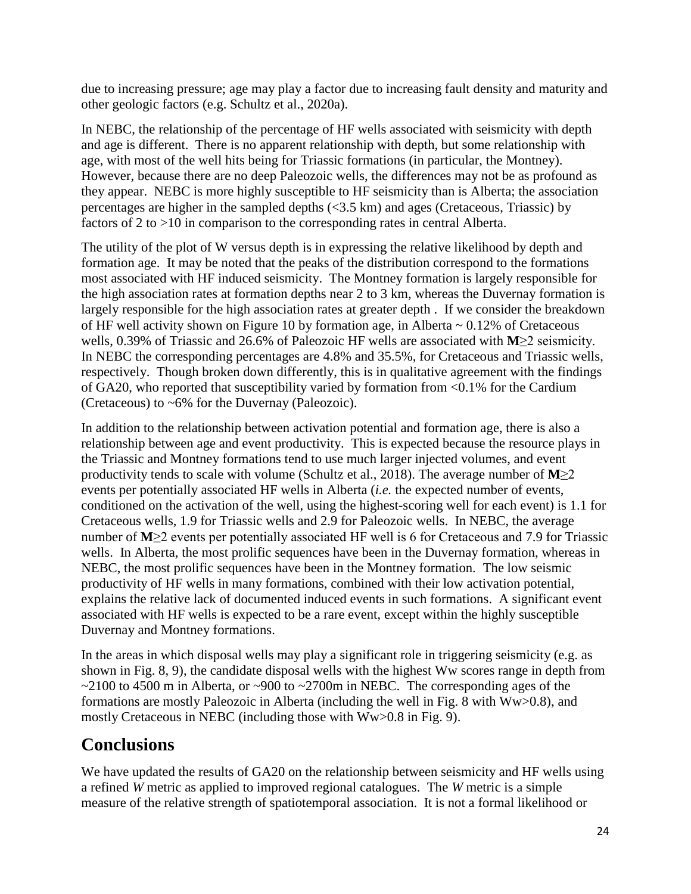due to increasing pressure; age may play a factor due to increasing fault density and maturity and other geologic factors (e.g. Schultz et al., 2020a).

In NEBC, the relationship of the percentage of HF wells associated with seismicity with depth and age is different. There is no apparent relationship with depth, but some relationship with age, with most of the well hits being for Triassic formations (in particular, the Montney). However, because there are no deep Paleozoic wells, the differences may not be as profound as they appear. NEBC is more highly susceptible to HF seismicity than is Alberta; the association percentages are higher in the sampled depths (<3.5 km) and ages (Cretaceous, Triassic) by factors of 2 to >10 in comparison to the corresponding rates in central Alberta.

The utility of the plot of W versus depth is in expressing the relative likelihood by depth and formation age. It may be noted that the peaks of the distribution correspond to the formations most associated with HF induced seismicity. The Montney formation is largely responsible for the high association rates at formation depths near 2 to 3 km, whereas the Duvernay formation is largely responsible for the high association rates at greater depth . If we consider the breakdown of HF well activity shown on Figure 10 by formation age, in Alberta  $\sim 0.12\%$  of Cretaceous wells, 0.39% of Triassic and 26.6% of Paleozoic HF wells are associated with **M**≥2 seismicity. In NEBC the corresponding percentages are 4.8% and 35.5%, for Cretaceous and Triassic wells, respectively. Though broken down differently, this is in qualitative agreement with the findings of GA20, who reported that susceptibility varied by formation from <0.1% for the Cardium (Cretaceous) to ~6% for the Duvernay (Paleozoic).

In addition to the relationship between activation potential and formation age, there is also a relationship between age and event productivity. This is expected because the resource plays in the Triassic and Montney formations tend to use much larger injected volumes, and event productivity tends to scale with volume (Schultz et al., 2018). The average number of **M**≥2 events per potentially associated HF wells in Alberta (*i.e.* the expected number of events, conditioned on the activation of the well, using the highest-scoring well for each event) is 1.1 for Cretaceous wells, 1.9 for Triassic wells and 2.9 for Paleozoic wells. In NEBC, the average number of **M**≥2 events per potentially associated HF well is 6 for Cretaceous and 7.9 for Triassic wells. In Alberta, the most prolific sequences have been in the Duvernay formation, whereas in NEBC, the most prolific sequences have been in the Montney formation. The low seismic productivity of HF wells in many formations, combined with their low activation potential, explains the relative lack of documented induced events in such formations. A significant event associated with HF wells is expected to be a rare event, except within the highly susceptible Duvernay and Montney formations.

In the areas in which disposal wells may play a significant role in triggering seismicity (e.g. as shown in Fig. 8, 9), the candidate disposal wells with the highest Ww scores range in depth from  $\sim$ 2100 to 4500 m in Alberta, or  $\sim$ 900 to  $\sim$ 2700m in NEBC. The corresponding ages of the formations are mostly Paleozoic in Alberta (including the well in Fig. 8 with Ww>0.8), and mostly Cretaceous in NEBC (including those with Ww>0.8 in Fig. 9).

# **Conclusions**

We have updated the results of GA20 on the relationship between seismicity and HF wells using a refined *W* metric as applied to improved regional catalogues. The *W* metric is a simple measure of the relative strength of spatiotemporal association. It is not a formal likelihood or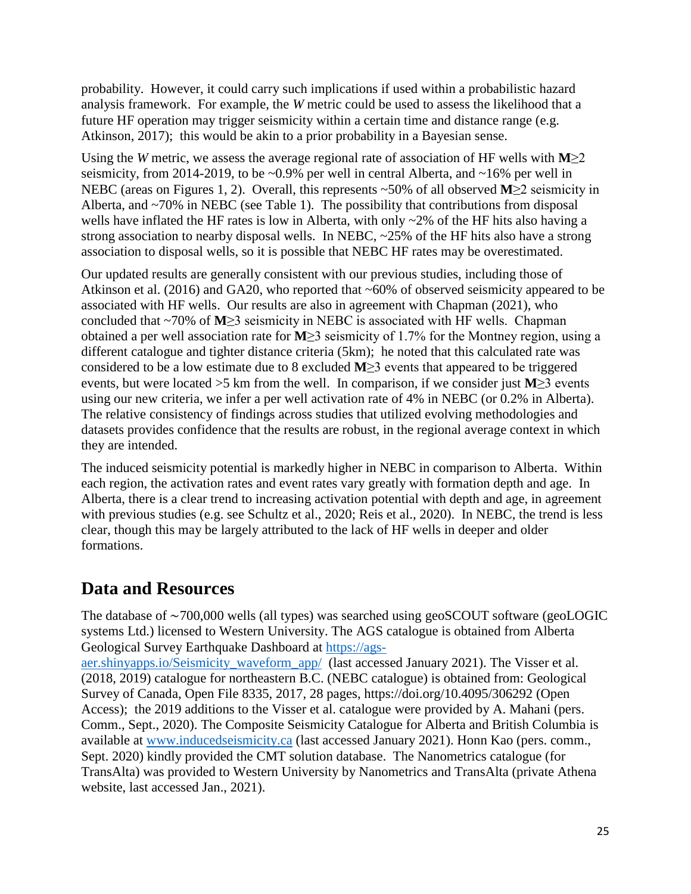probability. However, it could carry such implications if used within a probabilistic hazard analysis framework. For example, the *W* metric could be used to assess the likelihood that a future HF operation may trigger seismicity within a certain time and distance range (e.g. Atkinson, 2017); this would be akin to a prior probability in a Bayesian sense.

Using the *W* metric, we assess the average regional rate of association of HF wells with **M**≥2 seismicity, from 2014-2019, to be ~0.9% per well in central Alberta, and ~16% per well in NEBC (areas on Figures 1, 2). Overall, this represents ~50% of all observed **M**≥2 seismicity in Alberta, and ~70% in NEBC (see Table 1). The possibility that contributions from disposal wells have inflated the HF rates is low in Alberta, with only ~2% of the HF hits also having a strong association to nearby disposal wells. In NEBC, ~25% of the HF hits also have a strong association to disposal wells, so it is possible that NEBC HF rates may be overestimated.

Our updated results are generally consistent with our previous studies, including those of Atkinson et al. (2016) and GA20, who reported that ~60% of observed seismicity appeared to be associated with HF wells. Our results are also in agreement with Chapman (2021), who concluded that ~70% of **M**≥3 seismicity in NEBC is associated with HF wells. Chapman obtained a per well association rate for **M**≥3 seismicity of 1.7% for the Montney region, using a different catalogue and tighter distance criteria (5km); he noted that this calculated rate was considered to be a low estimate due to 8 excluded **M**≥3 events that appeared to be triggered events, but were located >5 km from the well. In comparison, if we consider just **M**≥3 events using our new criteria, we infer a per well activation rate of 4% in NEBC (or 0.2% in Alberta). The relative consistency of findings across studies that utilized evolving methodologies and datasets provides confidence that the results are robust, in the regional average context in which they are intended.

The induced seismicity potential is markedly higher in NEBC in comparison to Alberta. Within each region, the activation rates and event rates vary greatly with formation depth and age. In Alberta, there is a clear trend to increasing activation potential with depth and age, in agreement with previous studies (e.g. see Schultz et al., 2020; Reis et al., 2020). In NEBC, the trend is less clear, though this may be largely attributed to the lack of HF wells in deeper and older formations.

# **Data and Resources**

The database of ∼700,000 wells (all types) was searched using geoSCOUT software (geoLOGIC systems Ltd.) licensed to Western University. The AGS catalogue is obtained from Alberta Geological Survey Earthquake Dashboard at [https://ags-](https://ags-aer.shinyapps.io/Seismicity_waveform_app/)

[aer.shinyapps.io/Seismicity\\_waveform\\_app/](https://ags-aer.shinyapps.io/Seismicity_waveform_app/) (last accessed January 2021). The Visser et al. (2018, 2019) catalogue for northeastern B.C. (NEBC catalogue) is obtained from: Geological Survey of Canada, Open File 8335, 2017, 28 pages, https://doi.org/10.4095/306292 (Open Access); the 2019 additions to the Visser et al. catalogue were provided by A. Mahani (pers. Comm., Sept., 2020). The Composite Seismicity Catalogue for Alberta and British Columbia is available at [www.inducedseismicity.ca](http://www.inducedseismicity.ca/) (last accessed January 2021). Honn Kao (pers. comm., Sept. 2020) kindly provided the CMT solution database. The Nanometrics catalogue (for TransAlta) was provided to Western University by Nanometrics and TransAlta (private Athena website, last accessed Jan., 2021).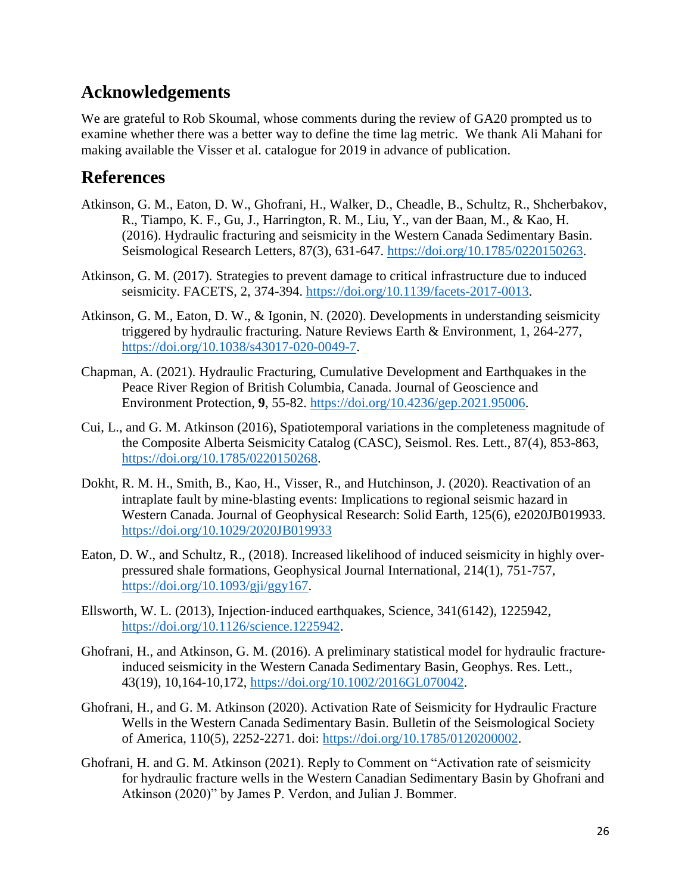# **Acknowledgements**

We are grateful to Rob Skoumal, whose comments during the review of GA20 prompted us to examine whether there was a better way to define the time lag metric. We thank Ali Mahani for making available the Visser et al. catalogue for 2019 in advance of publication.

## **References**

- Atkinson, G. M., Eaton, D. W., Ghofrani, H., Walker, D., Cheadle, B., Schultz, R., Shcherbakov, R., Tiampo, K. F., Gu, J., Harrington, R. M., Liu, Y., van der Baan, M., & Kao, H. (2016). Hydraulic fracturing and seismicity in the Western Canada Sedimentary Basin. Seismological Research Letters, 87(3), 631-647. [https://doi.org/10.1785/0220150263.](https://doi.org/10.1785/0220150263)
- Atkinson, G. M. (2017). Strategies to prevent damage to critical infrastructure due to induced seismicity. FACETS, 2, 374-394. [https://doi.org/10.1139/facets-2017-0013.](https://doi.org/10.1139/facets-2017-0013)
- Atkinson, G. M., Eaton, D. W., & Igonin, N. (2020). Developments in understanding seismicity triggered by hydraulic fracturing. Nature Reviews Earth & Environment, 1, 264-277, [https://doi.org/10.1038/s43017-020-0049-7.](https://doi.org/10.1038/s43017-020-0049-7)
- Chapman, A. (2021). Hydraulic Fracturing, Cumulative Development and Earthquakes in the Peace River Region of British Columbia, Canada. Journal of Geoscience and Environment Protection, **9**, 55-82. [https://doi.org/10.4236/gep.2021.95006.](https://doi.org/10.4236/gep.2021.95006)
- Cui, L., and G. M. Atkinson (2016), Spatiotemporal variations in the completeness magnitude of the Composite Alberta Seismicity Catalog (CASC), Seismol. Res. Lett., 87(4), 853-863, [https://doi.org/10.1785/0220150268.](https://doi.org/10.1785/0220150268)
- Dokht, R. M. H., Smith, B., Kao, H., Visser, R., and Hutchinson, J. (2020). Reactivation of an intraplate fault by mine‐blasting events: Implications to regional seismic hazard in Western Canada. Journal of Geophysical Research: Solid Earth, 125(6), e2020JB019933. <https://doi.org/10.1029/2020JB019933>
- Eaton, D. W., and Schultz, R., (2018). Increased likelihood of induced seismicity in highly overpressured shale formations, Geophysical Journal International, 214(1), 751-757, [https://doi.org/10.1093/gji/ggy167.](https://doi.org/10.1093/gji/ggy167)
- Ellsworth, W. L. (2013), Injection‐induced earthquakes, Science, 341(6142), 1225942, [https://doi.org/10.1126/science.1225942.](https://doi.org/10.1126/science.1225942)
- Ghofrani, H., and Atkinson, G. M. (2016). A preliminary statistical model for hydraulic fractureinduced seismicity in the Western Canada Sedimentary Basin, Geophys. Res. Lett., 43(19), 10,164-10,172, [https://doi.org/10.1002/2016GL070042.](https://doi.org/10.1002/2016GL070042)
- Ghofrani, H., and G. M. Atkinson (2020). Activation Rate of Seismicity for Hydraulic Fracture Wells in the Western Canada Sedimentary Basin. Bulletin of the Seismological Society of America, 110(5), 2252-2271. doi: [https://doi.org/10.1785/0120200002.](https://doi.org/10.1785/0120200002)
- Ghofrani, H. and G. M. Atkinson (2021). Reply to Comment on "Activation rate of seismicity for hydraulic fracture wells in the Western Canadian Sedimentary Basin by Ghofrani and Atkinson (2020)" by James P. Verdon, and Julian J. Bommer.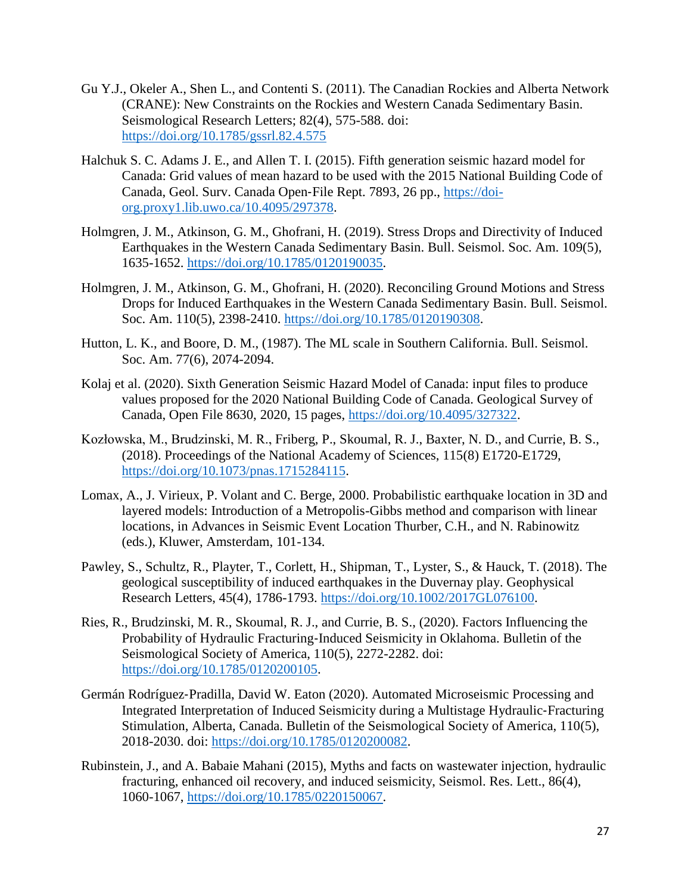- Gu Y.J., Okeler A., Shen L., and Contenti S. (2011). The Canadian Rockies and Alberta Network (CRANE): New Constraints on the Rockies and Western Canada Sedimentary Basin. Seismological Research Letters; 82(4), 575-588. doi: <https://doi.org/10.1785/gssrl.82.4.575>
- Halchuk S. C. Adams J. E., and Allen T. I. (2015). Fifth generation seismic hazard model for Canada: Grid values of mean hazard to be used with the 2015 National Building Code of Canada, Geol. Surv. Canada Open‐File Rept. 7893, 26 pp., [https://doi](https://doi-org.proxy1.lib.uwo.ca/10.4095/297378)[org.proxy1.lib.uwo.ca/10.4095/297378.](https://doi-org.proxy1.lib.uwo.ca/10.4095/297378)
- Holmgren, J. M., Atkinson, G. M., Ghofrani, H. (2019). Stress Drops and Directivity of Induced Earthquakes in the Western Canada Sedimentary Basin. Bull. Seismol. Soc. Am. 109(5), 1635-1652. [https://doi.org/10.1785/0120190035.](https://doi.org/10.1785/0120190035)
- Holmgren, J. M., Atkinson, G. M., Ghofrani, H. (2020). Reconciling Ground Motions and Stress Drops for Induced Earthquakes in the Western Canada Sedimentary Basin. Bull. Seismol. Soc. Am. 110(5), 2398-2410. [https://doi.org/10.1785/0120190308.](https://doi.org/10.1785/0120190308)
- Hutton, L. K., and Boore, D. M., (1987). The ML scale in Southern California. Bull. Seismol. Soc. Am. 77(6), 2074-2094.
- Kolaj et al. (2020). Sixth Generation Seismic Hazard Model of Canada: input files to produce values proposed for the 2020 National Building Code of Canada. Geological Survey of Canada, Open File 8630, 2020, 15 pages, [https://doi.org/10.4095/327322.](https://doi.org/10.4095/327322)
- Kozłowska, M., Brudzinski, M. R., Friberg, P., Skoumal, R. J., Baxter, N. D., and Currie, B. S., (2018). Proceedings of the National Academy of Sciences, 115(8) E1720-E1729, [https://doi.org/10.1073/pnas.1715284115.](https://doi.org/10.1073/pnas.1715284115)
- Lomax, A., J. Virieux, P. Volant and C. Berge, 2000. Probabilistic earthquake location in 3D and layered models: Introduction of a Metropolis-Gibbs method and comparison with linear locations, in Advances in Seismic Event Location Thurber, C.H., and N. Rabinowitz (eds.), Kluwer, Amsterdam, 101-134.
- Pawley, S., Schultz, R., Playter, T., Corlett, H., Shipman, T., Lyster, S., & Hauck, T. (2018). The geological susceptibility of induced earthquakes in the Duvernay play. Geophysical Research Letters, 45(4), 1786-1793. [https://doi.org/10.1002/2017GL076100.](https://doi.org/10.1002/2017GL076100)
- Ries, R., Brudzinski, M. R., Skoumal, R. J., and Currie, B. S., (2020). Factors Influencing the Probability of Hydraulic Fracturing-Induced Seismicity in Oklahoma. Bulletin of the Seismological Society of America, 110(5), 2272-2282. doi: [https://doi.org/10.1785/0120200105.](https://doi.org/10.1785/0120200105)
- Germán Rodríguez‐Pradilla, David W. Eaton (2020). Automated Microseismic Processing and Integrated Interpretation of Induced Seismicity during a Multistage Hydraulic‐Fracturing Stimulation, Alberta, Canada. Bulletin of the Seismological Society of America, 110(5), 2018-2030. doi: [https://doi.org/10.1785/0120200082.](https://doi.org/10.1785/0120200082)
- Rubinstein, J., and A. Babaie Mahani (2015), Myths and facts on wastewater injection, hydraulic fracturing, enhanced oil recovery, and induced seismicity, Seismol. Res. Lett., 86(4), 1060-1067, [https://doi.org/10.1785/0220150067.](https://doi.org/10.1785/0220150067)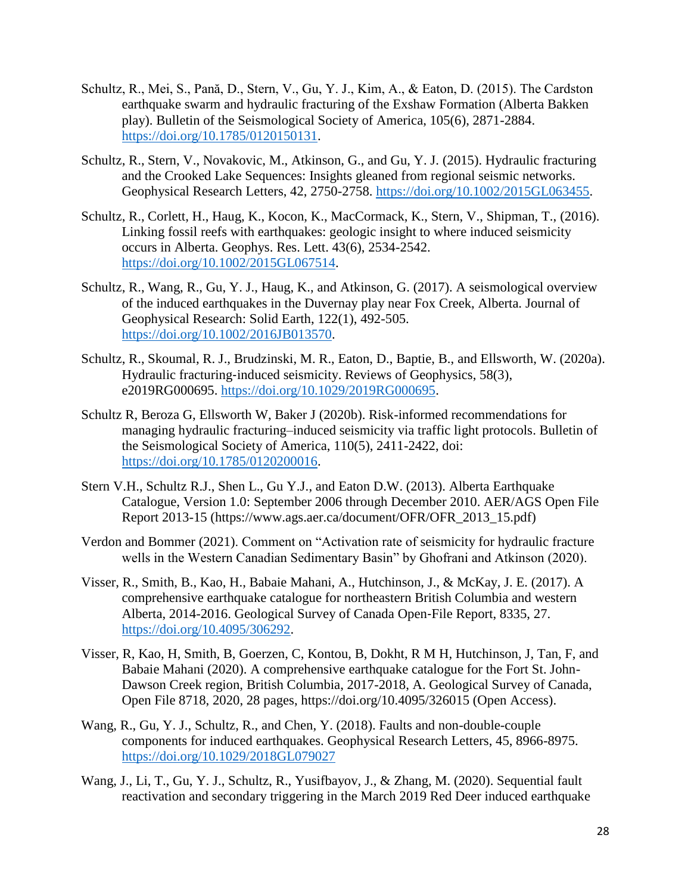- Schultz, R., Mei, S., Pană, D., Stern, V., Gu, Y. J., Kim, A., & Eaton, D. (2015). The Cardston earthquake swarm and hydraulic fracturing of the Exshaw Formation (Alberta Bakken play). Bulletin of the Seismological Society of America, 105(6), 2871-2884. [https://doi.org/10.1785/0120150131.](https://doi.org/10.1785/0120150131)
- Schultz, R., Stern, V., Novakovic, M., Atkinson, G., and Gu, Y. J. (2015). Hydraulic fracturing and the Crooked Lake Sequences: Insights gleaned from regional seismic networks. Geophysical Research Letters, 42, 2750-2758. [https://doi.org/10.1002/2015GL063455.](https://doi.org/10.1002/2015GL063455)
- Schultz, R., Corlett, H., Haug, K., Kocon, K., MacCormack, K., Stern, V., Shipman, T., (2016). Linking fossil reefs with earthquakes: geologic insight to where induced seismicity occurs in Alberta. Geophys. Res. Lett. 43(6), 2534-2542. [https://doi.org/10.1002/2015GL067514.](https://doi.org/10.1002/2015GL067514)
- Schultz, R., Wang, R., Gu, Y. J., Haug, K., and Atkinson, G. (2017). A seismological overview of the induced earthquakes in the Duvernay play near Fox Creek, Alberta. Journal of Geophysical Research: Solid Earth, 122(1), 492-505. [https://doi.org/10.1002/2016JB013570.](https://doi.org/10.1002/2016JB013570)
- Schultz, R., Skoumal, R. J., Brudzinski, M. R., Eaton, D., Baptie, B., and Ellsworth, W. (2020a). Hydraulic fracturing‐induced seismicity. Reviews of Geophysics, 58(3), e2019RG000695. [https://doi.org/10.1029/2019RG000695.](https://doi.org/10.1029/2019RG000695)
- Schultz R, Beroza G, Ellsworth W, Baker J (2020b). Risk-informed recommendations for managing hydraulic fracturing–induced seismicity via traffic light protocols. Bulletin of the Seismological Society of America, 110(5), 2411-2422, doi: [https://doi.org/10.1785/0120200016.](https://doi.org/10.1785/0120200016)
- Stern V.H., Schultz R.J., Shen L., Gu Y.J., and Eaton D.W. (2013). Alberta Earthquake Catalogue, Version 1.0: September 2006 through December 2010. AER/AGS Open File Report 2013-15 (https://www.ags.aer.ca/document/OFR/OFR\_2013\_15.pdf)
- Verdon and Bommer (2021). Comment on "Activation rate of seismicity for hydraulic fracture wells in the Western Canadian Sedimentary Basin" by Ghofrani and Atkinson (2020).
- Visser, R., Smith, B., Kao, H., Babaie Mahani, A., Hutchinson, J., & McKay, J. E. (2017). A comprehensive earthquake catalogue for northeastern British Columbia and western Alberta, 2014-2016. Geological Survey of Canada Open‐File Report, 8335, 27. [https://doi.org/10.4095/306292.](https://doi.org/10.4095/306292)
- Visser, R, Kao, H, Smith, B, Goerzen, C, Kontou, B, Dokht, R M H, Hutchinson, J, Tan, F, and Babaie Mahani (2020). A comprehensive earthquake catalogue for the Fort St. John-Dawson Creek region, British Columbia, 2017-2018, A. Geological Survey of Canada, Open File 8718, 2020, 28 pages, https://doi.org/10.4095/326015 (Open Access).
- Wang, R., Gu, Y. J., Schultz, R., and Chen, Y. (2018). Faults and non-double-couple components for induced earthquakes. Geophysical Research Letters, 45, 8966-8975. <https://doi.org/10.1029/2018GL079027>
- Wang, J., Li, T., Gu, Y. J., Schultz, R., Yusifbayov, J., & Zhang, M. (2020). Sequential fault reactivation and secondary triggering in the March 2019 Red Deer induced earthquake